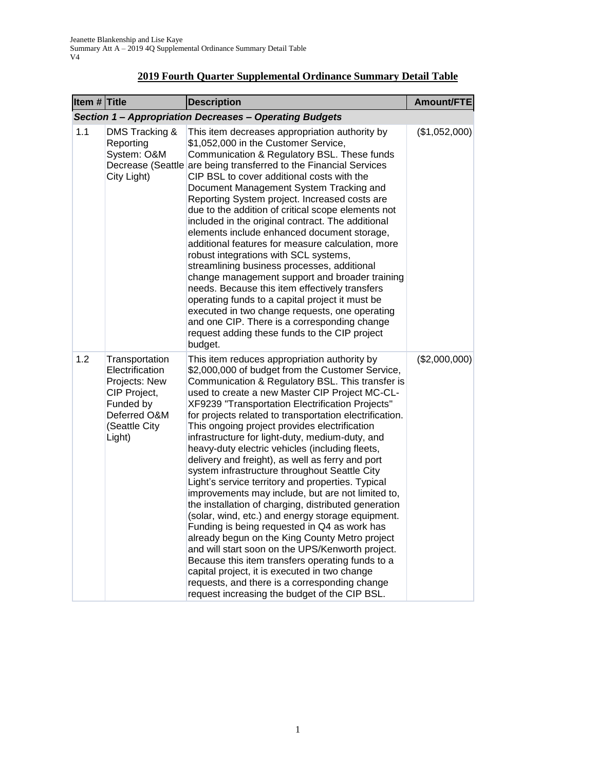| Item $#$ Title |                                                                                                                            | <b>Description</b>                                                                                                                                                                                                                                                                                                                                                                                                                                                                                                                                                                                                                                                                                                                                                                                                                                                                                                                                                                                                                                                                                                                                                    | <b>Amount/FTE</b> |  |  |
|----------------|----------------------------------------------------------------------------------------------------------------------------|-----------------------------------------------------------------------------------------------------------------------------------------------------------------------------------------------------------------------------------------------------------------------------------------------------------------------------------------------------------------------------------------------------------------------------------------------------------------------------------------------------------------------------------------------------------------------------------------------------------------------------------------------------------------------------------------------------------------------------------------------------------------------------------------------------------------------------------------------------------------------------------------------------------------------------------------------------------------------------------------------------------------------------------------------------------------------------------------------------------------------------------------------------------------------|-------------------|--|--|
|                | Section 1 - Appropriation Decreases - Operating Budgets                                                                    |                                                                                                                                                                                                                                                                                                                                                                                                                                                                                                                                                                                                                                                                                                                                                                                                                                                                                                                                                                                                                                                                                                                                                                       |                   |  |  |
| 1.1            | DMS Tracking &<br>Reporting<br>System: O&M<br>City Light)                                                                  | This item decreases appropriation authority by<br>\$1,052,000 in the Customer Service,<br>Communication & Regulatory BSL. These funds<br>Decrease (Seattle are being transferred to the Financial Services<br>CIP BSL to cover additional costs with the<br>Document Management System Tracking and<br>Reporting System project. Increased costs are<br>due to the addition of critical scope elements not<br>included in the original contract. The additional<br>elements include enhanced document storage,<br>additional features for measure calculation, more<br>robust integrations with SCL systems,<br>streamlining business processes, additional<br>change management support and broader training<br>needs. Because this item effectively transfers<br>operating funds to a capital project it must be<br>executed in two change requests, one operating<br>and one CIP. There is a corresponding change<br>request adding these funds to the CIP project<br>budget.                                                                                                                                                                                      | (\$1,052,000)     |  |  |
| 1.2            | Transportation<br>Electrification<br>Projects: New<br>CIP Project,<br>Funded by<br>Deferred O&M<br>(Seattle City<br>Light) | This item reduces appropriation authority by<br>\$2,000,000 of budget from the Customer Service,<br>Communication & Regulatory BSL. This transfer is<br>used to create a new Master CIP Project MC-CL-<br>XF9239 "Transportation Electrification Projects"<br>for projects related to transportation electrification.<br>This ongoing project provides electrification<br>infrastructure for light-duty, medium-duty, and<br>heavy-duty electric vehicles (including fleets,<br>delivery and freight), as well as ferry and port<br>system infrastructure throughout Seattle City<br>Light's service territory and properties. Typical<br>improvements may include, but are not limited to,<br>the installation of charging, distributed generation<br>(solar, wind, etc.) and energy storage equipment.<br>Funding is being requested in Q4 as work has<br>already begun on the King County Metro project<br>and will start soon on the UPS/Kenworth project.<br>Because this item transfers operating funds to a<br>capital project, it is executed in two change<br>requests, and there is a corresponding change<br>request increasing the budget of the CIP BSL. | (\$2,000,000)     |  |  |

## **2019 Fourth Quarter Supplemental Ordinance Summary Detail Table**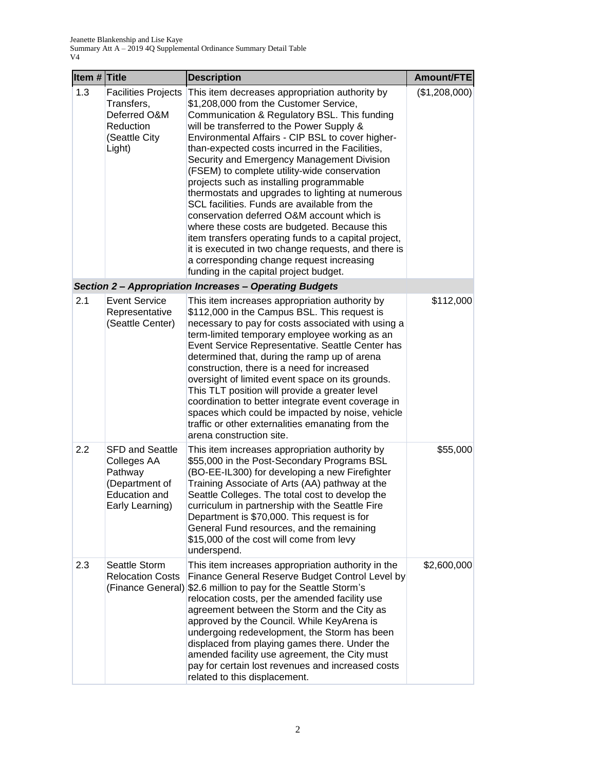| Item # Title |                                                                                                               | <b>Description</b>                                                                                                                                                                                                                                                                                                                                                                                                                                                                                                                                                                                                                                                                                                                                                                                                                             | Amount/FTE    |
|--------------|---------------------------------------------------------------------------------------------------------------|------------------------------------------------------------------------------------------------------------------------------------------------------------------------------------------------------------------------------------------------------------------------------------------------------------------------------------------------------------------------------------------------------------------------------------------------------------------------------------------------------------------------------------------------------------------------------------------------------------------------------------------------------------------------------------------------------------------------------------------------------------------------------------------------------------------------------------------------|---------------|
| 1.3          | <b>Facilities Projects</b><br>Transfers,<br>Deferred O&M<br>Reduction<br>(Seattle City<br>Light)              | This item decreases appropriation authority by<br>\$1,208,000 from the Customer Service,<br>Communication & Regulatory BSL. This funding<br>will be transferred to the Power Supply &<br>Environmental Affairs - CIP BSL to cover higher-<br>than-expected costs incurred in the Facilities,<br>Security and Emergency Management Division<br>(FSEM) to complete utility-wide conservation<br>projects such as installing programmable<br>thermostats and upgrades to lighting at numerous<br>SCL facilities. Funds are available from the<br>conservation deferred O&M account which is<br>where these costs are budgeted. Because this<br>item transfers operating funds to a capital project,<br>it is executed in two change requests, and there is<br>a corresponding change request increasing<br>funding in the capital project budget. | (\$1,208,000) |
|              |                                                                                                               | <b>Section 2- Appropriation Increases - Operating Budgets</b>                                                                                                                                                                                                                                                                                                                                                                                                                                                                                                                                                                                                                                                                                                                                                                                  |               |
| 2.1          | <b>Event Service</b><br>Representative<br>(Seattle Center)                                                    | This item increases appropriation authority by<br>\$112,000 in the Campus BSL. This request is<br>necessary to pay for costs associated with using a<br>term-limited temporary employee working as an<br>Event Service Representative. Seattle Center has<br>determined that, during the ramp up of arena<br>construction, there is a need for increased<br>oversight of limited event space on its grounds.<br>This TLT position will provide a greater level<br>coordination to better integrate event coverage in<br>spaces which could be impacted by noise, vehicle<br>traffic or other externalities emanating from the<br>arena construction site.                                                                                                                                                                                      | \$112,000     |
| 2.2          | <b>SFD and Seattle</b><br>Colleges AA<br>Pathway<br>(Department of<br><b>Education and</b><br>Early Learning) | This item increases appropriation authority by<br>\$55,000 in the Post-Secondary Programs BSL<br>(BO-EE-IL300) for developing a new Firefighter<br>Training Associate of Arts (AA) pathway at the<br>Seattle Colleges. The total cost to develop the<br>curriculum in partnership with the Seattle Fire<br>Department is \$70,000. This request is for<br>General Fund resources, and the remaining<br>\$15,000 of the cost will come from levy<br>underspend.                                                                                                                                                                                                                                                                                                                                                                                 | \$55,000      |
| 2.3          | Seattle Storm<br><b>Relocation Costs</b><br>(Finance General)                                                 | This item increases appropriation authority in the<br>Finance General Reserve Budget Control Level by<br>\$2.6 million to pay for the Seattle Storm's<br>relocation costs, per the amended facility use<br>agreement between the Storm and the City as<br>approved by the Council. While KeyArena is<br>undergoing redevelopment, the Storm has been<br>displaced from playing games there. Under the<br>amended facility use agreement, the City must<br>pay for certain lost revenues and increased costs<br>related to this displacement.                                                                                                                                                                                                                                                                                                   | \$2,600,000   |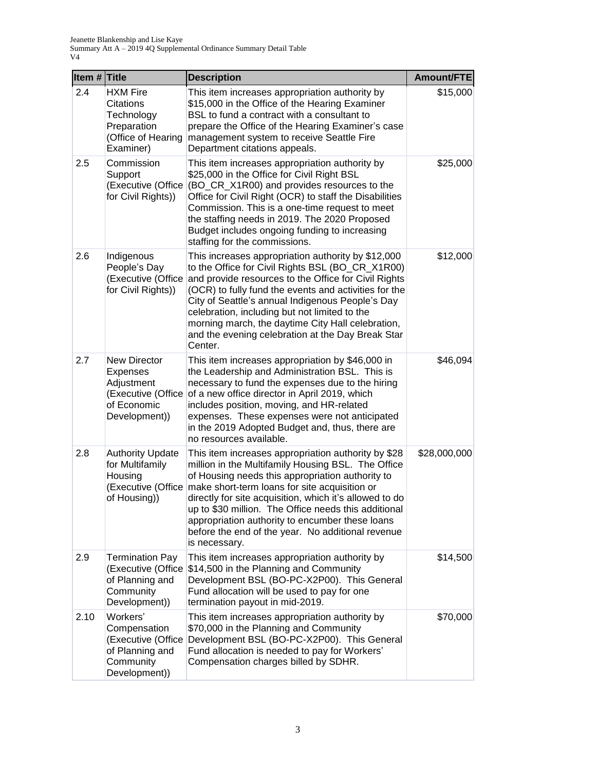| Item $#$ Title |                                                                                                     | <b>Description</b>                                                                                                                                                                                                                                                                                                                                                                                                                                                            | Amount/FTE   |
|----------------|-----------------------------------------------------------------------------------------------------|-------------------------------------------------------------------------------------------------------------------------------------------------------------------------------------------------------------------------------------------------------------------------------------------------------------------------------------------------------------------------------------------------------------------------------------------------------------------------------|--------------|
| 2.4            | <b>HXM Fire</b><br>Citations<br>Technology<br>Preparation<br>(Office of Hearing<br>Examiner)        | This item increases appropriation authority by<br>\$15,000 in the Office of the Hearing Examiner<br>BSL to fund a contract with a consultant to<br>prepare the Office of the Hearing Examiner's case<br>management system to receive Seattle Fire<br>Department citations appeals.                                                                                                                                                                                            | \$15,000     |
| 2.5            | Commission<br>Support<br>(Executive (Office<br>for Civil Rights))                                   | This item increases appropriation authority by<br>\$25,000 in the Office for Civil Right BSL<br>(BO_CR_X1R00) and provides resources to the<br>Office for Civil Right (OCR) to staff the Disabilities<br>Commission. This is a one-time request to meet<br>the staffing needs in 2019. The 2020 Proposed<br>Budget includes ongoing funding to increasing<br>staffing for the commissions.                                                                                    | \$25,000     |
| 2.6            | Indigenous<br>People's Day<br>(Executive (Office<br>for Civil Rights))                              | This increases appropriation authority by \$12,000<br>to the Office for Civil Rights BSL (BO_CR_X1R00)<br>and provide resources to the Office for Civil Rights<br>(OCR) to fully fund the events and activities for the<br>City of Seattle's annual Indigenous People's Day<br>celebration, including but not limited to the<br>morning march, the daytime City Hall celebration,<br>and the evening celebration at the Day Break Star<br>Center.                             | \$12,000     |
| 2.7            | <b>New Director</b><br>Expenses<br>Adjustment<br>(Executive (Office<br>of Economic<br>Development)) | This item increases appropriation by \$46,000 in<br>the Leadership and Administration BSL. This is<br>necessary to fund the expenses due to the hiring<br>of a new office director in April 2019, which<br>includes position, moving, and HR-related<br>expenses. These expenses were not anticipated<br>in the 2019 Adopted Budget and, thus, there are<br>no resources available.                                                                                           | \$46,094     |
| 2.8            | <b>Authority Update</b><br>for Multifamily<br>Housing<br>of Housing))                               | This item increases appropriation authority by \$28<br>million in the Multifamily Housing BSL. The Office<br>of Housing needs this appropriation authority to<br>(Executive (Office make short-term loans for site acquisition or<br>directly for site acquisition, which it's allowed to do<br>up to \$30 million. The Office needs this additional<br>appropriation authority to encumber these loans<br>before the end of the year. No additional revenue<br>is necessary. | \$28,000,000 |
| 2.9            | <b>Termination Pay</b><br>(Executive (Office<br>of Planning and<br>Community<br>Development))       | This item increases appropriation authority by<br>\$14,500 in the Planning and Community<br>Development BSL (BO-PC-X2P00). This General<br>Fund allocation will be used to pay for one<br>termination payout in mid-2019.                                                                                                                                                                                                                                                     | \$14,500     |
| 2.10           | Workers'<br>Compensation<br>(Executive (Office<br>of Planning and<br>Community<br>Development))     | This item increases appropriation authority by<br>\$70,000 in the Planning and Community<br>Development BSL (BO-PC-X2P00). This General<br>Fund allocation is needed to pay for Workers'<br>Compensation charges billed by SDHR.                                                                                                                                                                                                                                              | \$70,000     |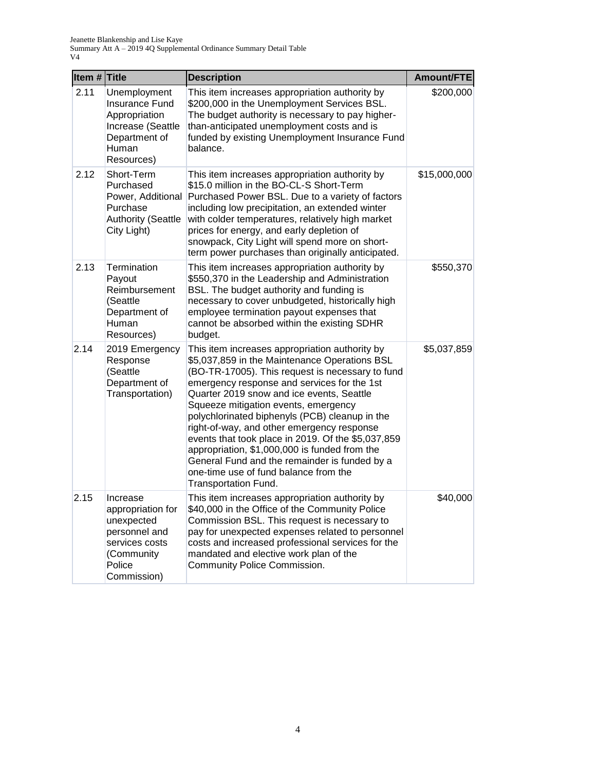| Item # Title |                                                                                                                       | <b>Description</b>                                                                                                                                                                                                                                                                                                                                                                                                                                                                                                                                                                                               | Amount/FTE   |
|--------------|-----------------------------------------------------------------------------------------------------------------------|------------------------------------------------------------------------------------------------------------------------------------------------------------------------------------------------------------------------------------------------------------------------------------------------------------------------------------------------------------------------------------------------------------------------------------------------------------------------------------------------------------------------------------------------------------------------------------------------------------------|--------------|
| 2.11         | Unemployment<br><b>Insurance Fund</b><br>Appropriation<br>Increase (Seattle<br>Department of<br>Human<br>Resources)   | This item increases appropriation authority by<br>\$200,000 in the Unemployment Services BSL.<br>The budget authority is necessary to pay higher-<br>than-anticipated unemployment costs and is<br>funded by existing Unemployment Insurance Fund<br>balance.                                                                                                                                                                                                                                                                                                                                                    | \$200,000    |
| 2.12         | Short-Term<br>Purchased<br>Power, Additional<br>Purchase<br><b>Authority (Seattle</b><br>City Light)                  | This item increases appropriation authority by<br>\$15.0 million in the BO-CL-S Short-Term<br>Purchased Power BSL. Due to a variety of factors<br>including low precipitation, an extended winter<br>with colder temperatures, relatively high market<br>prices for energy, and early depletion of<br>snowpack, City Light will spend more on short-<br>term power purchases than originally anticipated.                                                                                                                                                                                                        | \$15,000,000 |
| 2.13         | Termination<br>Payout<br>Reimbursement<br>(Seattle<br>Department of<br>Human<br>Resources)                            | This item increases appropriation authority by<br>\$550,370 in the Leadership and Administration<br>BSL. The budget authority and funding is<br>necessary to cover unbudgeted, historically high<br>employee termination payout expenses that<br>cannot be absorbed within the existing SDHR<br>budget.                                                                                                                                                                                                                                                                                                          | \$550,370    |
| 2.14         | 2019 Emergency<br>Response<br>(Seattle<br>Department of<br>Transportation)                                            | This item increases appropriation authority by<br>\$5,037,859 in the Maintenance Operations BSL<br>(BO-TR-17005). This request is necessary to fund<br>emergency response and services for the 1st<br>Quarter 2019 snow and ice events, Seattle<br>Squeeze mitigation events, emergency<br>polychlorinated biphenyls (PCB) cleanup in the<br>right-of-way, and other emergency response<br>events that took place in 2019. Of the \$5,037,859<br>appropriation, \$1,000,000 is funded from the<br>General Fund and the remainder is funded by a<br>one-time use of fund balance from the<br>Transportation Fund. | \$5,037,859  |
| 2.15         | Increase<br>appropriation for<br>unexpected<br>personnel and<br>services costs<br>(Community<br>Police<br>Commission) | This item increases appropriation authority by<br>\$40,000 in the Office of the Community Police<br>Commission BSL. This request is necessary to<br>pay for unexpected expenses related to personnel<br>costs and increased professional services for the<br>mandated and elective work plan of the<br>Community Police Commission.                                                                                                                                                                                                                                                                              | \$40,000     |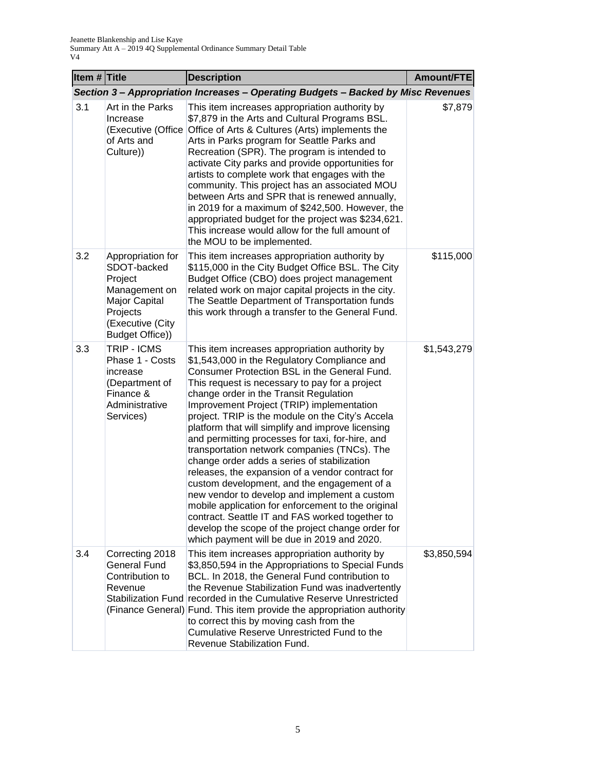| Item $#$ Title |                                                                                                                                         | <b>Description</b>                                                                                                                                                                                                                                                                                                                                                                                                                                                                                                                                                                                                                                                                                                                                                                                                                                                                                                  | Amount/FTE  |
|----------------|-----------------------------------------------------------------------------------------------------------------------------------------|---------------------------------------------------------------------------------------------------------------------------------------------------------------------------------------------------------------------------------------------------------------------------------------------------------------------------------------------------------------------------------------------------------------------------------------------------------------------------------------------------------------------------------------------------------------------------------------------------------------------------------------------------------------------------------------------------------------------------------------------------------------------------------------------------------------------------------------------------------------------------------------------------------------------|-------------|
|                |                                                                                                                                         | Section 3 - Appropriation Increases - Operating Budgets - Backed by Misc Revenues                                                                                                                                                                                                                                                                                                                                                                                                                                                                                                                                                                                                                                                                                                                                                                                                                                   |             |
| 3.1            | Art in the Parks<br>Increase<br>(Executive (Office<br>of Arts and<br>Culture))                                                          | This item increases appropriation authority by<br>\$7,879 in the Arts and Cultural Programs BSL.<br>Office of Arts & Cultures (Arts) implements the<br>Arts in Parks program for Seattle Parks and<br>Recreation (SPR). The program is intended to<br>activate City parks and provide opportunities for<br>artists to complete work that engages with the<br>community. This project has an associated MOU<br>between Arts and SPR that is renewed annually,<br>in 2019 for a maximum of \$242,500. However, the<br>appropriated budget for the project was \$234,621.<br>This increase would allow for the full amount of<br>the MOU to be implemented.                                                                                                                                                                                                                                                            | \$7,879     |
| 3.2            | Appropriation for<br>SDOT-backed<br>Project<br>Management on<br>Major Capital<br>Projects<br>(Executive (City<br><b>Budget Office))</b> | This item increases appropriation authority by<br>\$115,000 in the City Budget Office BSL. The City<br>Budget Office (CBO) does project management<br>related work on major capital projects in the city.<br>The Seattle Department of Transportation funds<br>this work through a transfer to the General Fund.                                                                                                                                                                                                                                                                                                                                                                                                                                                                                                                                                                                                    | \$115,000   |
| 3.3            | TRIP - ICMS<br>Phase 1 - Costs<br>increase<br>(Department of<br>Finance &<br>Administrative<br>Services)                                | This item increases appropriation authority by<br>\$1,543,000 in the Regulatory Compliance and<br>Consumer Protection BSL in the General Fund.<br>This request is necessary to pay for a project<br>change order in the Transit Regulation<br>Improvement Project (TRIP) implementation<br>project. TRIP is the module on the City's Accela<br>platform that will simplify and improve licensing<br>and permitting processes for taxi, for-hire, and<br>transportation network companies (TNCs). The<br>change order adds a series of stabilization<br>releases, the expansion of a vendor contract for<br>custom development, and the engagement of a<br>new vendor to develop and implement a custom<br>mobile application for enforcement to the original<br>contract. Seattle IT and FAS worked together to<br>develop the scope of the project change order for<br>which payment will be due in 2019 and 2020. | \$1,543,279 |
| 3.4            | Correcting 2018<br><b>General Fund</b><br>Contribution to<br>Revenue                                                                    | This item increases appropriation authority by<br>\$3,850,594 in the Appropriations to Special Funds<br>BCL. In 2018, the General Fund contribution to<br>the Revenue Stabilization Fund was inadvertently<br>Stabilization Fund recorded in the Cumulative Reserve Unrestricted<br>(Finance General) Fund. This item provide the appropriation authority<br>to correct this by moving cash from the<br>Cumulative Reserve Unrestricted Fund to the<br>Revenue Stabilization Fund.                                                                                                                                                                                                                                                                                                                                                                                                                                  | \$3,850,594 |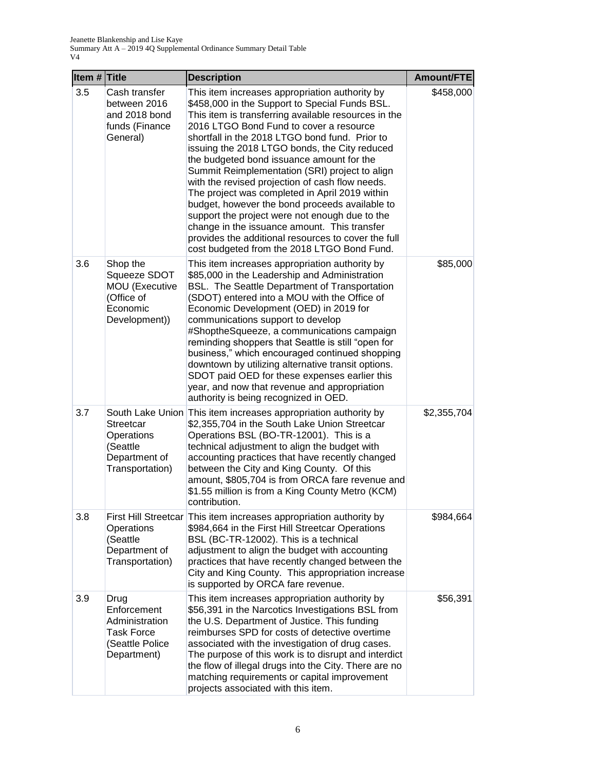| Item # Title |                                                                                              | <b>Description</b>                                                                                                                                                                                                                                                                                                                                                                                                                                                                                                                                                                                                                                                                                                                                                   | Amount/FTE  |
|--------------|----------------------------------------------------------------------------------------------|----------------------------------------------------------------------------------------------------------------------------------------------------------------------------------------------------------------------------------------------------------------------------------------------------------------------------------------------------------------------------------------------------------------------------------------------------------------------------------------------------------------------------------------------------------------------------------------------------------------------------------------------------------------------------------------------------------------------------------------------------------------------|-------------|
| 3.5          | Cash transfer<br>between 2016<br>and 2018 bond<br>funds (Finance<br>General)                 | This item increases appropriation authority by<br>\$458,000 in the Support to Special Funds BSL.<br>This item is transferring available resources in the<br>2016 LTGO Bond Fund to cover a resource<br>shortfall in the 2018 LTGO bond fund. Prior to<br>issuing the 2018 LTGO bonds, the City reduced<br>the budgeted bond issuance amount for the<br>Summit Reimplementation (SRI) project to align<br>with the revised projection of cash flow needs.<br>The project was completed in April 2019 within<br>budget, however the bond proceeds available to<br>support the project were not enough due to the<br>change in the issuance amount. This transfer<br>provides the additional resources to cover the full<br>cost budgeted from the 2018 LTGO Bond Fund. | \$458,000   |
| 3.6          | Shop the<br>Squeeze SDOT<br>MOU (Executive<br>(Office of<br>Economic<br>Development))        | This item increases appropriation authority by<br>\$85,000 in the Leadership and Administration<br>BSL. The Seattle Department of Transportation<br>(SDOT) entered into a MOU with the Office of<br>Economic Development (OED) in 2019 for<br>communications support to develop<br>#ShoptheSqueeze, a communications campaign<br>reminding shoppers that Seattle is still "open for<br>business," which encouraged continued shopping<br>downtown by utilizing alternative transit options.<br>SDOT paid OED for these expenses earlier this<br>year, and now that revenue and appropriation<br>authority is being recognized in OED.                                                                                                                                | \$85,000    |
| 3.7          | <b>Streetcar</b><br>Operations<br>(Seattle<br>Department of<br>Transportation)               | South Lake Union This item increases appropriation authority by<br>\$2,355,704 in the South Lake Union Streetcar<br>Operations BSL (BO-TR-12001). This is a<br>technical adjustment to align the budget with<br>accounting practices that have recently changed<br>between the City and King County. Of this<br>amount, \$805,704 is from ORCA fare revenue and<br>\$1.55 million is from a King County Metro (KCM)<br>contribution.                                                                                                                                                                                                                                                                                                                                 | \$2,355,704 |
| 3.8          | Operations<br>(Seattle<br>Department of<br>Transportation)                                   | First Hill Streetcar This item increases appropriation authority by<br>\$984,664 in the First Hill Streetcar Operations<br>BSL (BC-TR-12002). This is a technical<br>adjustment to align the budget with accounting<br>practices that have recently changed between the<br>City and King County. This appropriation increase<br>is supported by ORCA fare revenue.                                                                                                                                                                                                                                                                                                                                                                                                   | \$984,664   |
| 3.9          | Drug<br>Enforcement<br>Administration<br><b>Task Force</b><br>(Seattle Police<br>Department) | This item increases appropriation authority by<br>\$56,391 in the Narcotics Investigations BSL from<br>the U.S. Department of Justice. This funding<br>reimburses SPD for costs of detective overtime<br>associated with the investigation of drug cases.<br>The purpose of this work is to disrupt and interdict<br>the flow of illegal drugs into the City. There are no<br>matching requirements or capital improvement<br>projects associated with this item.                                                                                                                                                                                                                                                                                                    | \$56,391    |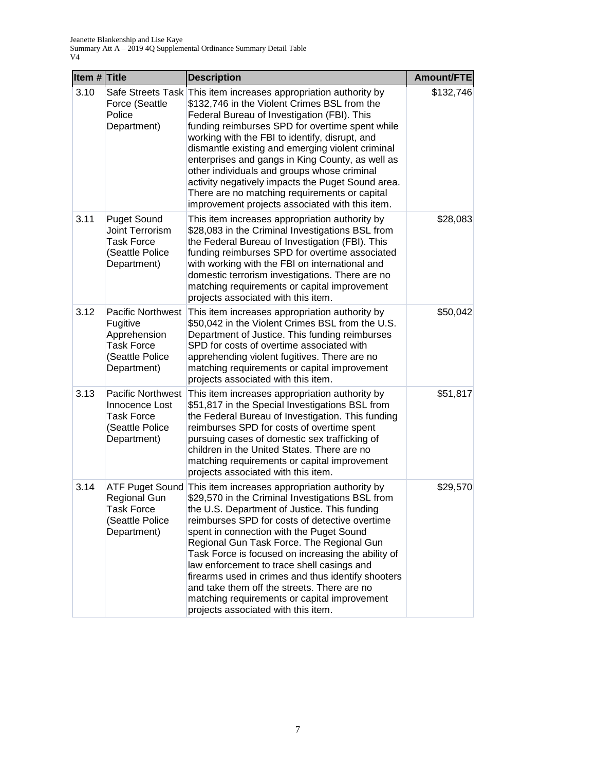| Item $#$ Title |                                                                                                      | <b>Description</b>                                                                                                                                                                                                                                                                                                                                                                                                                                                                                                                                                                                            | Amount/FTE |
|----------------|------------------------------------------------------------------------------------------------------|---------------------------------------------------------------------------------------------------------------------------------------------------------------------------------------------------------------------------------------------------------------------------------------------------------------------------------------------------------------------------------------------------------------------------------------------------------------------------------------------------------------------------------------------------------------------------------------------------------------|------------|
| 3.10           | Force (Seattle<br>Police<br>Department)                                                              | Safe Streets Task This item increases appropriation authority by<br>\$132,746 in the Violent Crimes BSL from the<br>Federal Bureau of Investigation (FBI). This<br>funding reimburses SPD for overtime spent while<br>working with the FBI to identify, disrupt, and<br>dismantle existing and emerging violent criminal<br>enterprises and gangs in King County, as well as<br>other individuals and groups whose criminal<br>activity negatively impacts the Puget Sound area.<br>There are no matching requirements or capital<br>improvement projects associated with this item.                          | \$132,746  |
| 3.11           | <b>Puget Sound</b><br>Joint Terrorism<br><b>Task Force</b><br>(Seattle Police<br>Department)         | This item increases appropriation authority by<br>\$28,083 in the Criminal Investigations BSL from<br>the Federal Bureau of Investigation (FBI). This<br>funding reimburses SPD for overtime associated<br>with working with the FBI on international and<br>domestic terrorism investigations. There are no<br>matching requirements or capital improvement<br>projects associated with this item.                                                                                                                                                                                                           | \$28,083   |
| 3.12           | Pacific Northwest<br>Fugitive<br>Apprehension<br><b>Task Force</b><br>(Seattle Police<br>Department) | This item increases appropriation authority by<br>\$50,042 in the Violent Crimes BSL from the U.S.<br>Department of Justice. This funding reimburses<br>SPD for costs of overtime associated with<br>apprehending violent fugitives. There are no<br>matching requirements or capital improvement<br>projects associated with this item.                                                                                                                                                                                                                                                                      | \$50,042   |
| 3.13           | <b>Pacific Northwest</b><br>Innocence Lost<br><b>Task Force</b><br>(Seattle Police<br>Department)    | This item increases appropriation authority by<br>\$51,817 in the Special Investigations BSL from<br>the Federal Bureau of Investigation. This funding<br>reimburses SPD for costs of overtime spent<br>pursuing cases of domestic sex trafficking of<br>children in the United States. There are no<br>matching requirements or capital improvement<br>projects associated with this item.                                                                                                                                                                                                                   | \$51,817   |
| 3.14           | Regional Gun<br>Task Force<br>(Seattle Police)<br>Department)                                        | ATF Puget Sound This item increases appropriation authority by<br>\$29,570 in the Criminal Investigations BSL from<br>the U.S. Department of Justice. This funding<br>reimburses SPD for costs of detective overtime<br>spent in connection with the Puget Sound<br>Regional Gun Task Force. The Regional Gun<br>Task Force is focused on increasing the ability of<br>law enforcement to trace shell casings and<br>firearms used in crimes and thus identify shooters<br>and take them off the streets. There are no<br>matching requirements or capital improvement<br>projects associated with this item. | \$29,570   |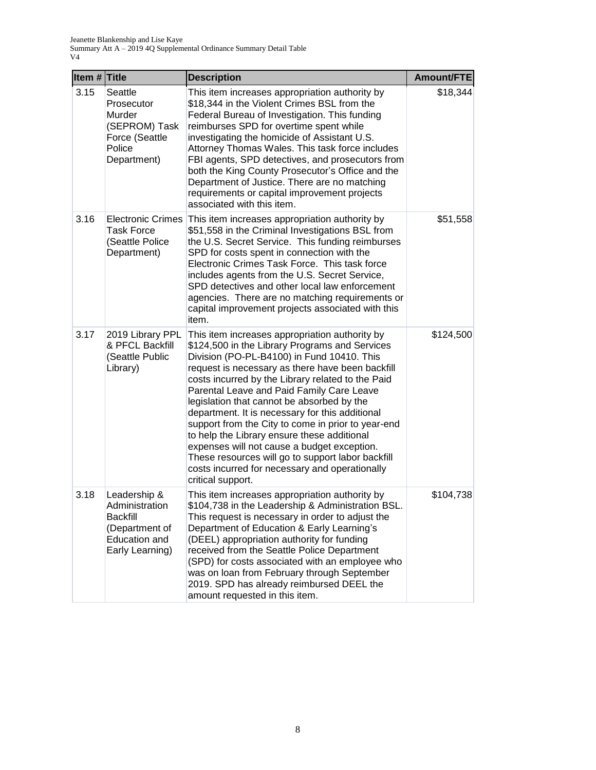| Item $#$ Title |                                                                                                         | <b>Description</b>                                                                                                                                                                                                                                                                                                                                                                                                                                                                                                                                                                                                                                                                    | Amount/FTE |
|----------------|---------------------------------------------------------------------------------------------------------|---------------------------------------------------------------------------------------------------------------------------------------------------------------------------------------------------------------------------------------------------------------------------------------------------------------------------------------------------------------------------------------------------------------------------------------------------------------------------------------------------------------------------------------------------------------------------------------------------------------------------------------------------------------------------------------|------------|
| 3.15           | Seattle<br>Prosecutor<br>Murder<br>(SEPROM) Task<br>Force (Seattle<br>Police<br>Department)             | This item increases appropriation authority by<br>\$18,344 in the Violent Crimes BSL from the<br>Federal Bureau of Investigation. This funding<br>reimburses SPD for overtime spent while<br>investigating the homicide of Assistant U.S.<br>Attorney Thomas Wales. This task force includes<br>FBI agents, SPD detectives, and prosecutors from<br>both the King County Prosecutor's Office and the<br>Department of Justice. There are no matching<br>requirements or capital improvement projects<br>associated with this item.                                                                                                                                                    | \$18,344   |
| 3.16           | <b>Electronic Crimes</b><br><b>Task Force</b><br>(Seattle Police<br>Department)                         | This item increases appropriation authority by<br>\$51,558 in the Criminal Investigations BSL from<br>the U.S. Secret Service. This funding reimburses<br>SPD for costs spent in connection with the<br>Electronic Crimes Task Force. This task force<br>includes agents from the U.S. Secret Service,<br>SPD detectives and other local law enforcement<br>agencies. There are no matching requirements or<br>capital improvement projects associated with this<br>item.                                                                                                                                                                                                             | \$51,558   |
| 3.17           | 2019 Library PPL<br>& PFCL Backfill<br>(Seattle Public<br>Library)                                      | This item increases appropriation authority by<br>\$124,500 in the Library Programs and Services<br>Division (PO-PL-B4100) in Fund 10410. This<br>request is necessary as there have been backfill<br>costs incurred by the Library related to the Paid<br>Parental Leave and Paid Family Care Leave<br>legislation that cannot be absorbed by the<br>department. It is necessary for this additional<br>support from the City to come in prior to year-end<br>to help the Library ensure these additional<br>expenses will not cause a budget exception.<br>These resources will go to support labor backfill<br>costs incurred for necessary and operationally<br>critical support. | \$124,500  |
| 3.18           | Leadership &<br>Administration<br><b>Backfill</b><br>(Department of<br>Education and<br>Early Learning) | This item increases appropriation authority by<br>\$104,738 in the Leadership & Administration BSL.<br>This request is necessary in order to adjust the<br>Department of Education & Early Learning's<br>(DEEL) appropriation authority for funding<br>received from the Seattle Police Department<br>(SPD) for costs associated with an employee who<br>was on loan from February through September<br>2019. SPD has already reimbursed DEEL the<br>amount requested in this item.                                                                                                                                                                                                   | \$104,738  |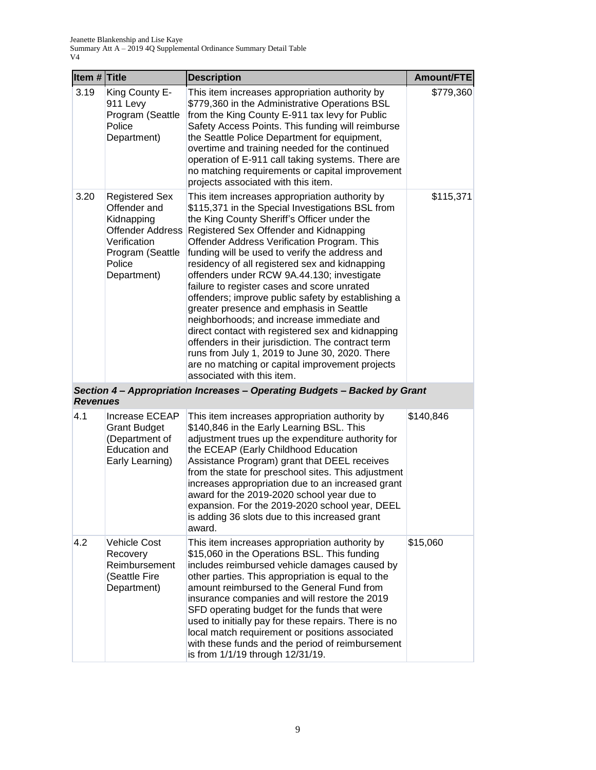| Item # Title    |                                                                                                                                             | <b>Description</b>                                                                                                                                                                                                                                                                                                                                                                                                                                                                                                                                                                                                                                                                                                                                                                                                                       | Amount/FTE |
|-----------------|---------------------------------------------------------------------------------------------------------------------------------------------|------------------------------------------------------------------------------------------------------------------------------------------------------------------------------------------------------------------------------------------------------------------------------------------------------------------------------------------------------------------------------------------------------------------------------------------------------------------------------------------------------------------------------------------------------------------------------------------------------------------------------------------------------------------------------------------------------------------------------------------------------------------------------------------------------------------------------------------|------------|
| 3.19            | King County E-<br>911 Levy<br>Program (Seattle<br>Police<br>Department)                                                                     | This item increases appropriation authority by<br>\$779,360 in the Administrative Operations BSL<br>from the King County E-911 tax levy for Public<br>Safety Access Points. This funding will reimburse<br>the Seattle Police Department for equipment,<br>overtime and training needed for the continued<br>operation of E-911 call taking systems. There are<br>no matching requirements or capital improvement<br>projects associated with this item.                                                                                                                                                                                                                                                                                                                                                                                 | \$779,360  |
| 3.20            | <b>Registered Sex</b><br>Offender and<br>Kidnapping<br><b>Offender Address</b><br>Verification<br>Program (Seattle<br>Police<br>Department) | This item increases appropriation authority by<br>\$115,371 in the Special Investigations BSL from<br>the King County Sheriff's Officer under the<br>Registered Sex Offender and Kidnapping<br>Offender Address Verification Program. This<br>funding will be used to verify the address and<br>residency of all registered sex and kidnapping<br>offenders under RCW 9A.44.130; investigate<br>failure to register cases and score unrated<br>offenders; improve public safety by establishing a<br>greater presence and emphasis in Seattle<br>neighborhoods; and increase immediate and<br>direct contact with registered sex and kidnapping<br>offenders in their jurisdiction. The contract term<br>runs from July 1, 2019 to June 30, 2020. There<br>are no matching or capital improvement projects<br>associated with this item. | \$115,371  |
| <b>Revenues</b> |                                                                                                                                             | Section 4 - Appropriation Increases - Operating Budgets - Backed by Grant                                                                                                                                                                                                                                                                                                                                                                                                                                                                                                                                                                                                                                                                                                                                                                |            |
| 4.1             | Increase ECEAP<br><b>Grant Budget</b><br>(Department of<br>Education and<br>Early Learning)                                                 | This item increases appropriation authority by<br>\$140,846 in the Early Learning BSL. This<br>adjustment trues up the expenditure authority for<br>the ECEAP (Early Childhood Education<br>Assistance Program) grant that DEEL receives<br>from the state for preschool sites. This adjustment<br>increases appropriation due to an increased grant<br>award for the 2019-2020 school year due to<br>expansion. For the 2019-2020 school year, DEEL<br>is adding 36 slots due to this increased grant<br>award.                                                                                                                                                                                                                                                                                                                         | \$140,846  |
| 4.2             | <b>Vehicle Cost</b><br>Recovery<br>Reimbursement<br>(Seattle Fire<br>Department)                                                            | This item increases appropriation authority by<br>\$15,060 in the Operations BSL. This funding<br>includes reimbursed vehicle damages caused by<br>other parties. This appropriation is equal to the<br>amount reimbursed to the General Fund from<br>insurance companies and will restore the 2019<br>SFD operating budget for the funds that were<br>used to initially pay for these repairs. There is no<br>local match requirement or positions associated<br>with these funds and the period of reimbursement<br>is from 1/1/19 through 12/31/19.                                                                                                                                                                                                                                                                                   | \$15,060   |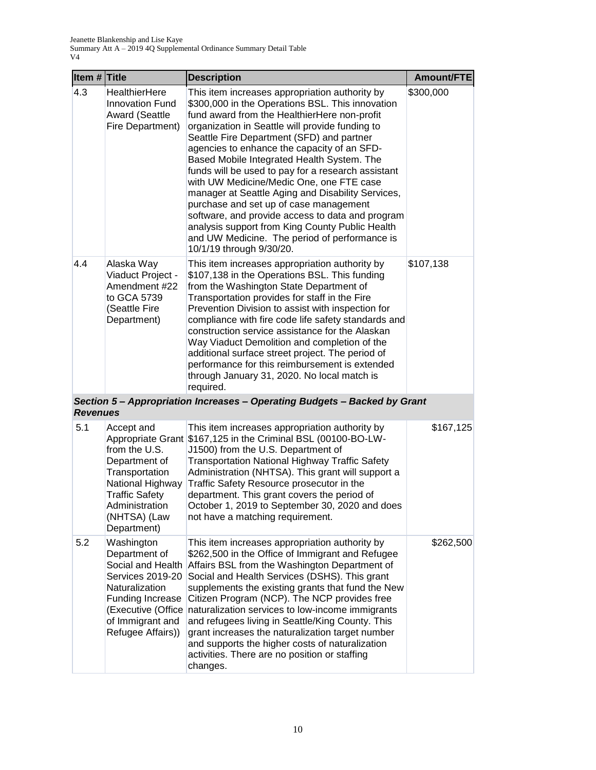| Item $#$ Title  |                                                                                                                                                                                   | <b>Description</b>                                                                                                                                                                                                                                                                                                                                                                                                                                                                                                                                                                                                                                                                                                                   | <b>Amount/FTE</b> |
|-----------------|-----------------------------------------------------------------------------------------------------------------------------------------------------------------------------------|--------------------------------------------------------------------------------------------------------------------------------------------------------------------------------------------------------------------------------------------------------------------------------------------------------------------------------------------------------------------------------------------------------------------------------------------------------------------------------------------------------------------------------------------------------------------------------------------------------------------------------------------------------------------------------------------------------------------------------------|-------------------|
| 4.3             | <b>HealthierHere</b><br><b>Innovation Fund</b><br><b>Award (Seattle</b><br>Fire Department)                                                                                       | This item increases appropriation authority by<br>\$300,000 in the Operations BSL. This innovation<br>fund award from the HealthierHere non-profit<br>organization in Seattle will provide funding to<br>Seattle Fire Department (SFD) and partner<br>agencies to enhance the capacity of an SFD-<br>Based Mobile Integrated Health System. The<br>funds will be used to pay for a research assistant<br>with UW Medicine/Medic One, one FTE case<br>manager at Seattle Aging and Disability Services,<br>purchase and set up of case management<br>software, and provide access to data and program<br>analysis support from King County Public Health<br>and UW Medicine. The period of performance is<br>10/1/19 through 9/30/20. | \$300,000         |
| 4.4             | Alaska Way<br>Viaduct Project -<br>Amendment #22<br>to GCA 5739<br>(Seattle Fire<br>Department)                                                                                   | This item increases appropriation authority by<br>\$107,138 in the Operations BSL. This funding<br>from the Washington State Department of<br>Transportation provides for staff in the Fire<br>Prevention Division to assist with inspection for<br>compliance with fire code life safety standards and<br>construction service assistance for the Alaskan<br>Way Viaduct Demolition and completion of the<br>additional surface street project. The period of<br>performance for this reimbursement is extended<br>through January 31, 2020. No local match is<br>required.                                                                                                                                                         | \$107,138         |
| <b>Revenues</b> |                                                                                                                                                                                   | Section 5 - Appropriation Increases - Operating Budgets - Backed by Grant                                                                                                                                                                                                                                                                                                                                                                                                                                                                                                                                                                                                                                                            |                   |
| 5.1             | Accept and<br>Appropriate Grant<br>from the U.S.<br>Department of<br>Transportation<br>National Highway<br><b>Traffic Safety</b><br>Administration<br>(NHTSA) (Law<br>Department) | This item increases appropriation authority by<br>\$167,125 in the Criminal BSL (00100-BO-LW-<br>J1500) from the U.S. Department of<br><b>Transportation National Highway Traffic Safety</b><br>Administration (NHTSA). This grant will support a<br>Traffic Safety Resource prosecutor in the<br>department. This grant covers the period of<br>October 1, 2019 to September 30, 2020 and does<br>not have a matching requirement.                                                                                                                                                                                                                                                                                                  | \$167,125         |
| 5.2             | Washington<br>Department of<br>Social and Health<br>Services 2019-20<br>Naturalization<br>Funding Increase<br>(Executive (Office<br>of Immigrant and<br>Refugee Affairs))         | This item increases appropriation authority by<br>\$262,500 in the Office of Immigrant and Refugee<br>Affairs BSL from the Washington Department of<br>Social and Health Services (DSHS). This grant<br>supplements the existing grants that fund the New<br>Citizen Program (NCP). The NCP provides free<br>naturalization services to low-income immigrants<br>and refugees living in Seattle/King County. This<br>grant increases the naturalization target number<br>and supports the higher costs of naturalization<br>activities. There are no position or staffing<br>changes.                                                                                                                                                | \$262,500         |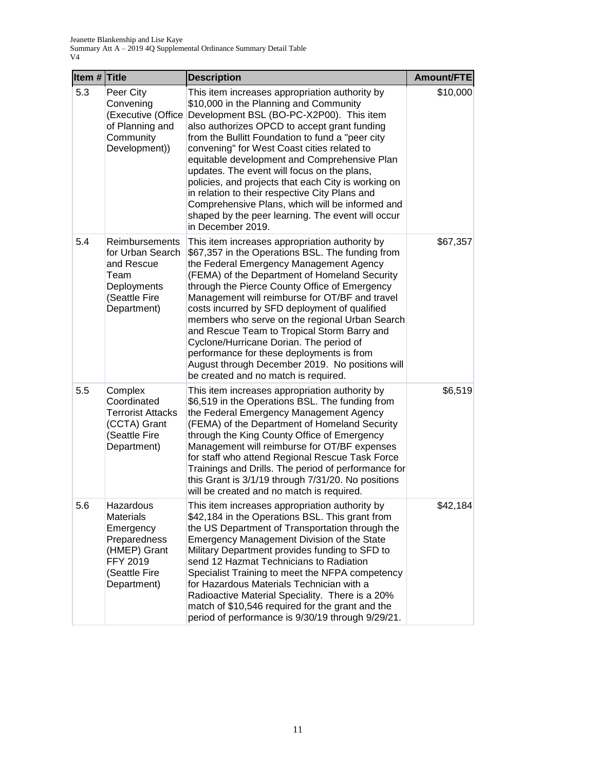| Item $#$ Title |                                                                                                                        | <b>Description</b>                                                                                                                                                                                                                                                                                                                                                                                                                                                                                                                                                                                                                     | Amount/FTE |
|----------------|------------------------------------------------------------------------------------------------------------------------|----------------------------------------------------------------------------------------------------------------------------------------------------------------------------------------------------------------------------------------------------------------------------------------------------------------------------------------------------------------------------------------------------------------------------------------------------------------------------------------------------------------------------------------------------------------------------------------------------------------------------------------|------------|
| 5.3            | Peer City<br>Convening<br>(Executive (Office<br>of Planning and<br>Community<br>Development))                          | This item increases appropriation authority by<br>\$10,000 in the Planning and Community<br>Development BSL (BO-PC-X2P00). This item<br>also authorizes OPCD to accept grant funding<br>from the Bullitt Foundation to fund a "peer city<br>convening" for West Coast cities related to<br>equitable development and Comprehensive Plan<br>updates. The event will focus on the plans,<br>policies, and projects that each City is working on<br>in relation to their respective City Plans and<br>Comprehensive Plans, which will be informed and<br>shaped by the peer learning. The event will occur<br>in December 2019.           | \$10,000   |
| 5.4            | <b>Reimbursements</b><br>for Urban Search<br>and Rescue<br>Team<br>Deployments<br>(Seattle Fire<br>Department)         | This item increases appropriation authority by<br>\$67,357 in the Operations BSL. The funding from<br>the Federal Emergency Management Agency<br>(FEMA) of the Department of Homeland Security<br>through the Pierce County Office of Emergency<br>Management will reimburse for OT/BF and travel<br>costs incurred by SFD deployment of qualified<br>members who serve on the regional Urban Search<br>and Rescue Team to Tropical Storm Barry and<br>Cyclone/Hurricane Dorian. The period of<br>performance for these deployments is from<br>August through December 2019. No positions will<br>be created and no match is required. | \$67,357   |
| 5.5            | Complex<br>Coordinated<br><b>Terrorist Attacks</b><br>(CCTA) Grant<br>(Seattle Fire<br>Department)                     | This item increases appropriation authority by<br>\$6,519 in the Operations BSL. The funding from<br>the Federal Emergency Management Agency<br>(FEMA) of the Department of Homeland Security<br>through the King County Office of Emergency<br>Management will reimburse for OT/BF expenses<br>for staff who attend Regional Rescue Task Force<br>Trainings and Drills. The period of performance for<br>this Grant is 3/1/19 through 7/31/20. No positions<br>will be created and no match is required.                                                                                                                              | \$6,519    |
| 5.6            | Hazardous<br><b>Materials</b><br>Emergency<br>Preparedness<br>(HMEP) Grant<br>FFY 2019<br>(Seattle Fire<br>Department) | This item increases appropriation authority by<br>\$42,184 in the Operations BSL. This grant from<br>the US Department of Transportation through the<br>Emergency Management Division of the State<br>Military Department provides funding to SFD to<br>send 12 Hazmat Technicians to Radiation<br>Specialist Training to meet the NFPA competency<br>for Hazardous Materials Technician with a<br>Radioactive Material Speciality. There is a 20%<br>match of \$10,546 required for the grant and the<br>period of performance is 9/30/19 through 9/29/21.                                                                            | \$42,184   |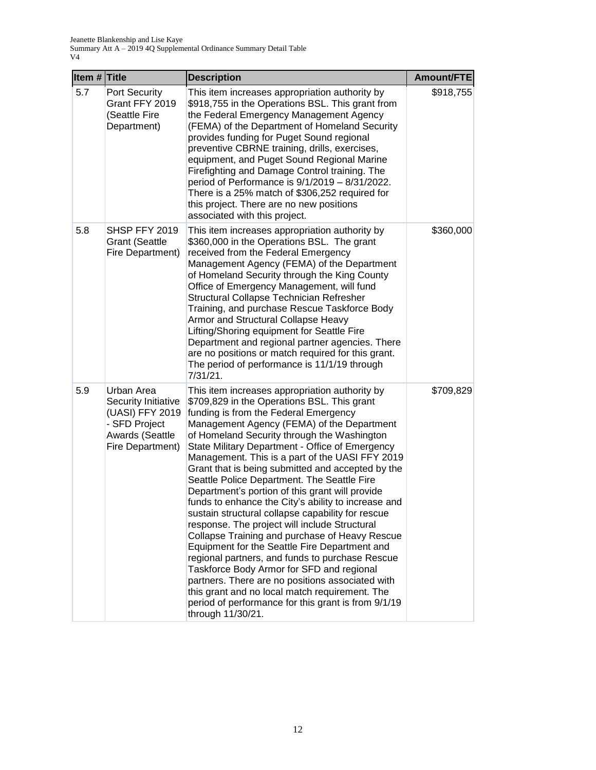| Item $#$ Title |                                                                                                              | <b>Description</b>                                                                                                                                                                                                                                                                                                                                                                                                                                                                                                                                                                                                                                                                                                                                                                                                                                                                                                                                                                                                                                 | Amount/FTE |
|----------------|--------------------------------------------------------------------------------------------------------------|----------------------------------------------------------------------------------------------------------------------------------------------------------------------------------------------------------------------------------------------------------------------------------------------------------------------------------------------------------------------------------------------------------------------------------------------------------------------------------------------------------------------------------------------------------------------------------------------------------------------------------------------------------------------------------------------------------------------------------------------------------------------------------------------------------------------------------------------------------------------------------------------------------------------------------------------------------------------------------------------------------------------------------------------------|------------|
| 5.7            | <b>Port Security</b><br>Grant FFY 2019<br>(Seattle Fire<br>Department)                                       | This item increases appropriation authority by<br>\$918,755 in the Operations BSL. This grant from<br>the Federal Emergency Management Agency<br>(FEMA) of the Department of Homeland Security<br>provides funding for Puget Sound regional<br>preventive CBRNE training, drills, exercises,<br>equipment, and Puget Sound Regional Marine<br>Firefighting and Damage Control training. The<br>period of Performance is $9/1/2019 - 8/31/2022$ .<br>There is a 25% match of \$306,252 required for<br>this project. There are no new positions<br>associated with this project.                                                                                                                                                                                                                                                                                                                                                                                                                                                                    | \$918,755  |
| 5.8            | SHSP FFY 2019<br><b>Grant (Seattle</b><br>Fire Department)                                                   | This item increases appropriation authority by<br>\$360,000 in the Operations BSL. The grant<br>received from the Federal Emergency<br>Management Agency (FEMA) of the Department<br>of Homeland Security through the King County<br>Office of Emergency Management, will fund<br>Structural Collapse Technician Refresher<br>Training, and purchase Rescue Taskforce Body<br>Armor and Structural Collapse Heavy<br>Lifting/Shoring equipment for Seattle Fire<br>Department and regional partner agencies. There<br>are no positions or match required for this grant.<br>The period of performance is 11/1/19 through<br>7/31/21.                                                                                                                                                                                                                                                                                                                                                                                                               | \$360,000  |
| 5.9            | Urban Area<br>Security Initiative<br>(UASI) FFY 2019<br>- SFD Project<br>Awards (Seattle<br>Fire Department) | This item increases appropriation authority by<br>\$709,829 in the Operations BSL. This grant<br>funding is from the Federal Emergency<br>Management Agency (FEMA) of the Department<br>of Homeland Security through the Washington<br>State Military Department - Office of Emergency<br>Management. This is a part of the UASI FFY 2019<br>Grant that is being submitted and accepted by the<br>Seattle Police Department. The Seattle Fire<br>Department's portion of this grant will provide<br>funds to enhance the City's ability to increase and<br>sustain structural collapse capability for rescue<br>response. The project will include Structural<br>Collapse Training and purchase of Heavy Rescue<br>Equipment for the Seattle Fire Department and<br>regional partners, and funds to purchase Rescue<br>Taskforce Body Armor for SFD and regional<br>partners. There are no positions associated with<br>this grant and no local match requirement. The<br>period of performance for this grant is from 9/1/19<br>through 11/30/21. | \$709,829  |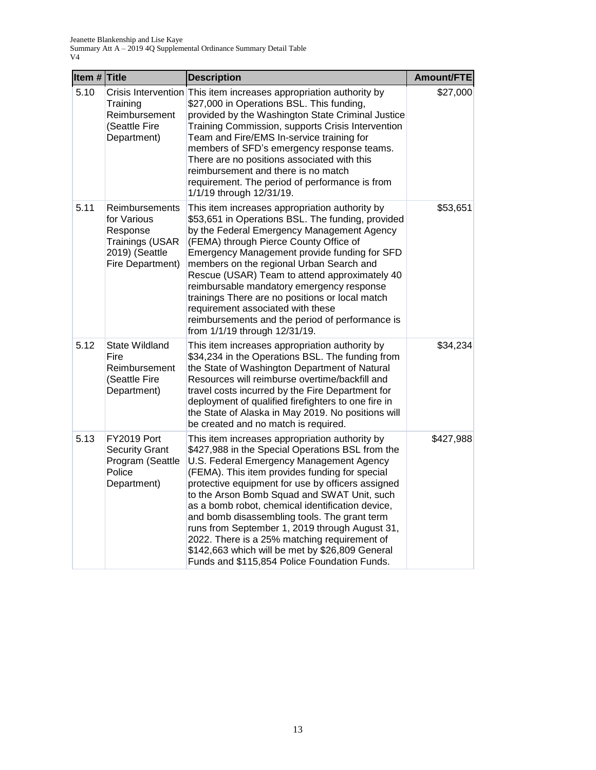| Item # Title |                                                                                                    | <b>Description</b>                                                                                                                                                                                                                                                                                                                                                                                                                                                                                                                                                                                            | Amount/FTE |
|--------------|----------------------------------------------------------------------------------------------------|---------------------------------------------------------------------------------------------------------------------------------------------------------------------------------------------------------------------------------------------------------------------------------------------------------------------------------------------------------------------------------------------------------------------------------------------------------------------------------------------------------------------------------------------------------------------------------------------------------------|------------|
| 5.10         | Training<br>Reimbursement<br>(Seattle Fire<br>Department)                                          | Crisis Intervention This item increases appropriation authority by<br>\$27,000 in Operations BSL. This funding,<br>provided by the Washington State Criminal Justice<br>Training Commission, supports Crisis Intervention<br>Team and Fire/EMS In-service training for<br>members of SFD's emergency response teams.<br>There are no positions associated with this<br>reimbursement and there is no match<br>requirement. The period of performance is from<br>1/1/19 through 12/31/19.                                                                                                                      | \$27,000   |
| 5.11         | Reimbursements<br>for Various<br>Response<br>Trainings (USAR<br>2019) (Seattle<br>Fire Department) | This item increases appropriation authority by<br>\$53,651 in Operations BSL. The funding, provided<br>by the Federal Emergency Management Agency<br>(FEMA) through Pierce County Office of<br>Emergency Management provide funding for SFD<br>members on the regional Urban Search and<br>Rescue (USAR) Team to attend approximately 40<br>reimbursable mandatory emergency response<br>trainings There are no positions or local match<br>requirement associated with these<br>reimbursements and the period of performance is<br>from 1/1/19 through 12/31/19.                                             | \$53,651   |
| 5.12         | <b>State Wildland</b><br>Fire<br>Reimbursement<br>(Seattle Fire<br>Department)                     | This item increases appropriation authority by<br>\$34,234 in the Operations BSL. The funding from<br>the State of Washington Department of Natural<br>Resources will reimburse overtime/backfill and<br>travel costs incurred by the Fire Department for<br>deployment of qualified firefighters to one fire in<br>the State of Alaska in May 2019. No positions will<br>be created and no match is required.                                                                                                                                                                                                | \$34,234   |
| 5.13         | FY2019 Port<br><b>Security Grant</b><br>Program (Seattle<br>Police<br>Department)                  | This item increases appropriation authority by<br>\$427,988 in the Special Operations BSL from the<br>U.S. Federal Emergency Management Agency<br>(FEMA). This item provides funding for special<br>protective equipment for use by officers assigned<br>to the Arson Bomb Squad and SWAT Unit, such<br>as a bomb robot, chemical identification device,<br>and bomb disassembling tools. The grant term<br>runs from September 1, 2019 through August 31,<br>2022. There is a 25% matching requirement of<br>\$142,663 which will be met by \$26,809 General<br>Funds and \$115,854 Police Foundation Funds. | \$427,988  |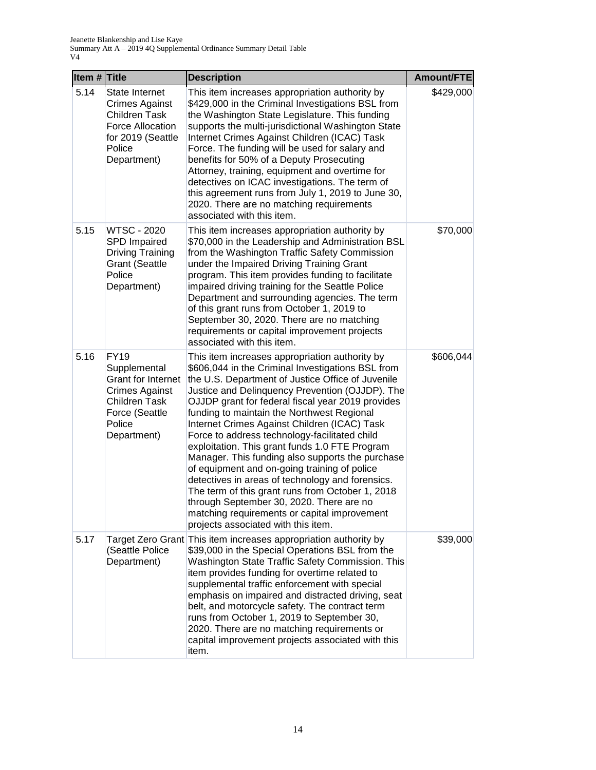| Item # Title |                                                                                                                                                      | <b>Description</b>                                                                                                                                                                                                                                                                                                                                                                                                                                                                                                                                                                                                                                                                                                                                                                                               | Amount/FTE |
|--------------|------------------------------------------------------------------------------------------------------------------------------------------------------|------------------------------------------------------------------------------------------------------------------------------------------------------------------------------------------------------------------------------------------------------------------------------------------------------------------------------------------------------------------------------------------------------------------------------------------------------------------------------------------------------------------------------------------------------------------------------------------------------------------------------------------------------------------------------------------------------------------------------------------------------------------------------------------------------------------|------------|
| 5.14         | State Internet<br><b>Crimes Against</b><br><b>Children Task</b><br>Force Allocation<br>for 2019 (Seattle<br>Police<br>Department)                    | This item increases appropriation authority by<br>\$429,000 in the Criminal Investigations BSL from<br>the Washington State Legislature. This funding<br>supports the multi-jurisdictional Washington State<br>Internet Crimes Against Children (ICAC) Task<br>Force. The funding will be used for salary and<br>benefits for 50% of a Deputy Prosecuting<br>Attorney, training, equipment and overtime for<br>detectives on ICAC investigations. The term of<br>this agreement runs from July 1, 2019 to June 30,<br>2020. There are no matching requirements<br>associated with this item.                                                                                                                                                                                                                     | \$429,000  |
| 5.15         | <b>WTSC - 2020</b><br>SPD Impaired<br><b>Driving Training</b><br><b>Grant (Seattle</b><br>Police<br>Department)                                      | This item increases appropriation authority by<br>\$70,000 in the Leadership and Administration BSL<br>from the Washington Traffic Safety Commission<br>under the Impaired Driving Training Grant<br>program. This item provides funding to facilitate<br>impaired driving training for the Seattle Police<br>Department and surrounding agencies. The term<br>of this grant runs from October 1, 2019 to<br>September 30, 2020. There are no matching<br>requirements or capital improvement projects<br>associated with this item.                                                                                                                                                                                                                                                                             | \$70,000   |
| 5.16         | <b>FY19</b><br>Supplemental<br><b>Grant for Internet</b><br><b>Crimes Against</b><br><b>Children Task</b><br>Force (Seattle<br>Police<br>Department) | This item increases appropriation authority by<br>\$606,044 in the Criminal Investigations BSL from<br>the U.S. Department of Justice Office of Juvenile<br>Justice and Delinquency Prevention (OJJDP). The<br>OJJDP grant for federal fiscal year 2019 provides<br>funding to maintain the Northwest Regional<br>Internet Crimes Against Children (ICAC) Task<br>Force to address technology-facilitated child<br>exploitation. This grant funds 1.0 FTE Program<br>Manager. This funding also supports the purchase<br>of equipment and on-going training of police<br>detectives in areas of technology and forensics.<br>The term of this grant runs from October 1, 2018<br>through September 30, 2020. There are no<br>matching requirements or capital improvement<br>projects associated with this item. | \$606,044  |
| 5.17         | (Seattle Police<br>Department)                                                                                                                       | Target Zero Grant This item increases appropriation authority by<br>\$39,000 in the Special Operations BSL from the<br>Washington State Traffic Safety Commission. This<br>item provides funding for overtime related to<br>supplemental traffic enforcement with special<br>emphasis on impaired and distracted driving, seat<br>belt, and motorcycle safety. The contract term<br>runs from October 1, 2019 to September 30,<br>2020. There are no matching requirements or<br>capital improvement projects associated with this<br>item.                                                                                                                                                                                                                                                                      | \$39,000   |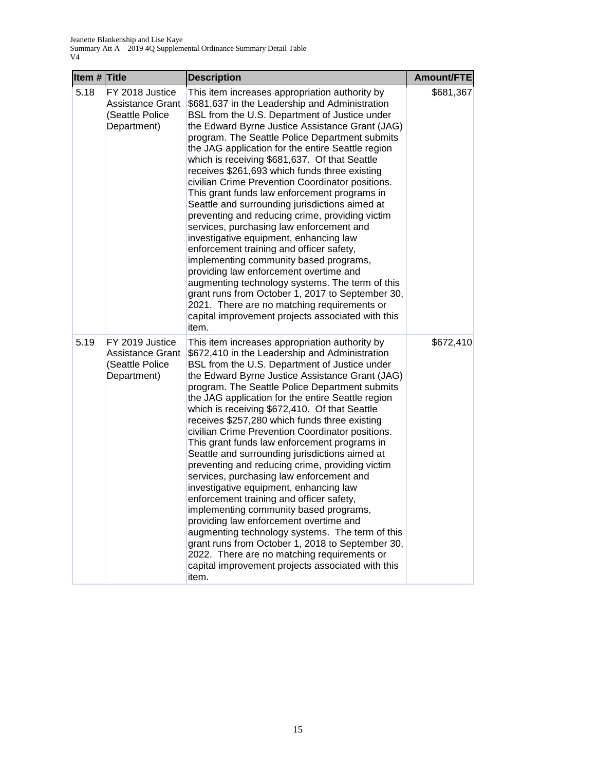| Item $#$ Title |                                                                       | <b>Description</b>                                                                                                                                                                                                                                                                                                                                                                                                                                                                                                                                                                                                                                                                                                                                                                                                                                                                                                                                                                                                                                               | Amount/FTE |
|----------------|-----------------------------------------------------------------------|------------------------------------------------------------------------------------------------------------------------------------------------------------------------------------------------------------------------------------------------------------------------------------------------------------------------------------------------------------------------------------------------------------------------------------------------------------------------------------------------------------------------------------------------------------------------------------------------------------------------------------------------------------------------------------------------------------------------------------------------------------------------------------------------------------------------------------------------------------------------------------------------------------------------------------------------------------------------------------------------------------------------------------------------------------------|------------|
| 5.18           | FY 2018 Justice<br>Assistance Grant<br>(Seattle Police<br>Department) | This item increases appropriation authority by<br>\$681,637 in the Leadership and Administration<br>BSL from the U.S. Department of Justice under<br>the Edward Byrne Justice Assistance Grant (JAG)<br>program. The Seattle Police Department submits<br>the JAG application for the entire Seattle region<br>which is receiving \$681,637. Of that Seattle<br>receives \$261,693 which funds three existing<br>civilian Crime Prevention Coordinator positions.<br>This grant funds law enforcement programs in<br>Seattle and surrounding jurisdictions aimed at<br>preventing and reducing crime, providing victim<br>services, purchasing law enforcement and<br>investigative equipment, enhancing law<br>enforcement training and officer safety,<br>implementing community based programs,<br>providing law enforcement overtime and<br>augmenting technology systems. The term of this<br>grant runs from October 1, 2017 to September 30,<br>2021. There are no matching requirements or<br>capital improvement projects associated with this<br>item. | \$681,367  |
| 5.19           | FY 2019 Justice<br>Assistance Grant<br>(Seattle Police<br>Department) | This item increases appropriation authority by<br>\$672,410 in the Leadership and Administration<br>BSL from the U.S. Department of Justice under<br>the Edward Byrne Justice Assistance Grant (JAG)<br>program. The Seattle Police Department submits<br>the JAG application for the entire Seattle region<br>which is receiving \$672,410. Of that Seattle<br>receives \$257,280 which funds three existing<br>civilian Crime Prevention Coordinator positions.<br>This grant funds law enforcement programs in<br>Seattle and surrounding jurisdictions aimed at<br>preventing and reducing crime, providing victim<br>services, purchasing law enforcement and<br>investigative equipment, enhancing law<br>enforcement training and officer safety,<br>implementing community based programs,<br>providing law enforcement overtime and<br>augmenting technology systems. The term of this<br>grant runs from October 1, 2018 to September 30,<br>2022. There are no matching requirements or<br>capital improvement projects associated with this<br>item. | \$672,410  |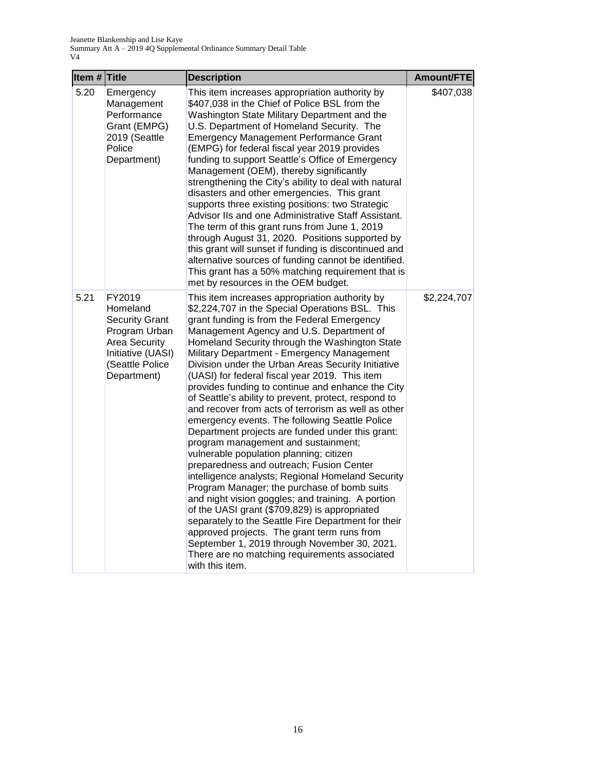| Item $#$ Title |                                                                                                                                             | <b>Description</b>                                                                                                                                                                                                                                                                                                                                                                                                                                                                                                                                                                                                                                                                                                                                                                                                                                                                                                                                                                                                                                                                                                                                                                                                                               | Amount/FTE  |
|----------------|---------------------------------------------------------------------------------------------------------------------------------------------|--------------------------------------------------------------------------------------------------------------------------------------------------------------------------------------------------------------------------------------------------------------------------------------------------------------------------------------------------------------------------------------------------------------------------------------------------------------------------------------------------------------------------------------------------------------------------------------------------------------------------------------------------------------------------------------------------------------------------------------------------------------------------------------------------------------------------------------------------------------------------------------------------------------------------------------------------------------------------------------------------------------------------------------------------------------------------------------------------------------------------------------------------------------------------------------------------------------------------------------------------|-------------|
| 5.20           | Emergency<br>Management<br>Performance<br>Grant (EMPG)<br>2019 (Seattle<br>Police<br>Department)                                            | This item increases appropriation authority by<br>\$407,038 in the Chief of Police BSL from the<br>Washington State Military Department and the<br>U.S. Department of Homeland Security. The<br><b>Emergency Management Performance Grant</b><br>(EMPG) for federal fiscal year 2019 provides<br>funding to support Seattle's Office of Emergency<br>Management (OEM), thereby significantly<br>strengthening the City's ability to deal with natural<br>disasters and other emergencies. This grant<br>supports three existing positions: two Strategic<br>Advisor IIs and one Administrative Staff Assistant.<br>The term of this grant runs from June 1, 2019<br>through August 31, 2020. Positions supported by<br>this grant will sunset if funding is discontinued and<br>alternative sources of funding cannot be identified.<br>This grant has a 50% matching requirement that is<br>met by resources in the OEM budget.                                                                                                                                                                                                                                                                                                                 | \$407,038   |
| 5.21           | FY2019<br>Homeland<br><b>Security Grant</b><br>Program Urban<br><b>Area Security</b><br>Initiative (UASI)<br>(Seattle Police<br>Department) | This item increases appropriation authority by<br>\$2,224,707 in the Special Operations BSL. This<br>grant funding is from the Federal Emergency<br>Management Agency and U.S. Department of<br>Homeland Security through the Washington State<br>Military Department - Emergency Management<br>Division under the Urban Areas Security Initiative<br>(UASI) for federal fiscal year 2019. This item<br>provides funding to continue and enhance the City<br>of Seattle's ability to prevent, protect, respond to<br>and recover from acts of terrorism as well as other<br>emergency events. The following Seattle Police<br>Department projects are funded under this grant:<br>program management and sustainment;<br>vulnerable population planning; citizen<br>preparedness and outreach; Fusion Center<br>intelligence analysts; Regional Homeland Security<br>Program Manager; the purchase of bomb suits<br>and night vision goggles; and training. A portion<br>of the UASI grant (\$709,829) is appropriated<br>separately to the Seattle Fire Department for their<br>approved projects. The grant term runs from<br>September 1, 2019 through November 30, 2021.<br>There are no matching requirements associated<br>with this item. | \$2,224,707 |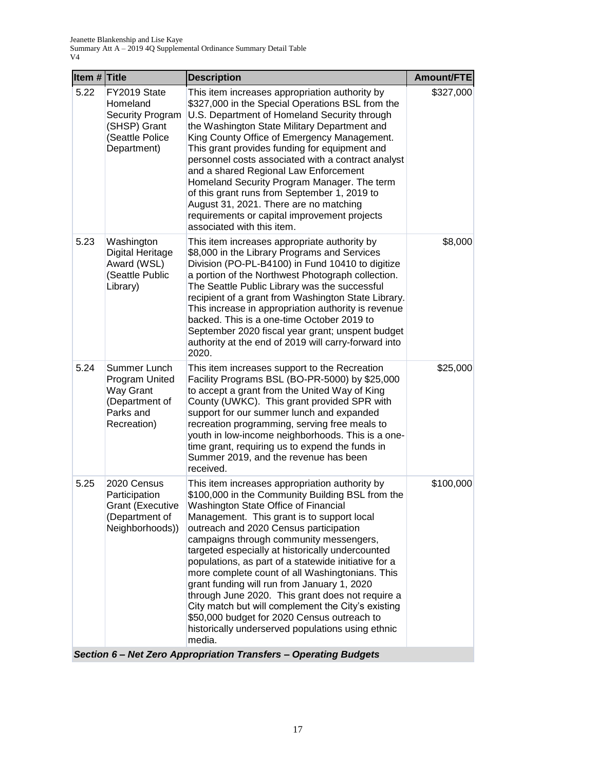|                                                                                                | <b>Description</b>                                                                                                                                                                                                                                                                                                                                                                                                                                                                                                                                                                                                                                                                                                  | <b>Amount/FTE</b>                                                |
|------------------------------------------------------------------------------------------------|---------------------------------------------------------------------------------------------------------------------------------------------------------------------------------------------------------------------------------------------------------------------------------------------------------------------------------------------------------------------------------------------------------------------------------------------------------------------------------------------------------------------------------------------------------------------------------------------------------------------------------------------------------------------------------------------------------------------|------------------------------------------------------------------|
| FY2019 State<br>Homeland<br>Security Program<br>(SHSP) Grant<br>(Seattle Police<br>Department) | This item increases appropriation authority by<br>\$327,000 in the Special Operations BSL from the<br>U.S. Department of Homeland Security through<br>the Washington State Military Department and<br>King County Office of Emergency Management.<br>This grant provides funding for equipment and<br>personnel costs associated with a contract analyst<br>and a shared Regional Law Enforcement<br>Homeland Security Program Manager. The term<br>of this grant runs from September 1, 2019 to<br>August 31, 2021. There are no matching<br>requirements or capital improvement projects<br>associated with this item.                                                                                            | \$327,000                                                        |
| Washington<br><b>Digital Heritage</b><br>Award (WSL)<br>(Seattle Public<br>Library)            | This item increases appropriate authority by<br>\$8,000 in the Library Programs and Services<br>Division (PO-PL-B4100) in Fund 10410 to digitize<br>a portion of the Northwest Photograph collection.<br>The Seattle Public Library was the successful<br>recipient of a grant from Washington State Library.<br>This increase in appropriation authority is revenue<br>backed. This is a one-time October 2019 to<br>September 2020 fiscal year grant; unspent budget<br>authority at the end of 2019 will carry-forward into<br>2020.                                                                                                                                                                             | \$8,000                                                          |
| Summer Lunch<br>Program United<br>Way Grant<br>(Department of<br>Parks and<br>Recreation)      | This item increases support to the Recreation<br>Facility Programs BSL (BO-PR-5000) by \$25,000<br>to accept a grant from the United Way of King<br>County (UWKC). This grant provided SPR with<br>support for our summer lunch and expanded<br>recreation programming, serving free meals to<br>youth in low-income neighborhoods. This is a one-<br>time grant, requiring us to expend the funds in<br>Summer 2019, and the revenue has been<br>received.                                                                                                                                                                                                                                                         | \$25,000                                                         |
| 2020 Census<br>Participation<br><b>Grant (Executive</b><br>(Department of<br>Neighborhoods))   | This item increases appropriation authority by<br>\$100,000 in the Community Building BSL from the<br>Washington State Office of Financial<br>Management. This grant is to support local<br>outreach and 2020 Census participation<br>campaigns through community messengers,<br>targeted especially at historically undercounted<br>populations, as part of a statewide initiative for a<br>more complete count of all Washingtonians. This<br>grant funding will run from January 1, 2020<br>through June 2020. This grant does not require a<br>City match but will complement the City's existing<br>\$50,000 budget for 2020 Census outreach to<br>historically underserved populations using ethnic<br>media. | \$100,000                                                        |
|                                                                                                | Item # Title                                                                                                                                                                                                                                                                                                                                                                                                                                                                                                                                                                                                                                                                                                        | Section 6 - Net Zero Appropriation Transfers - Operating Budgets |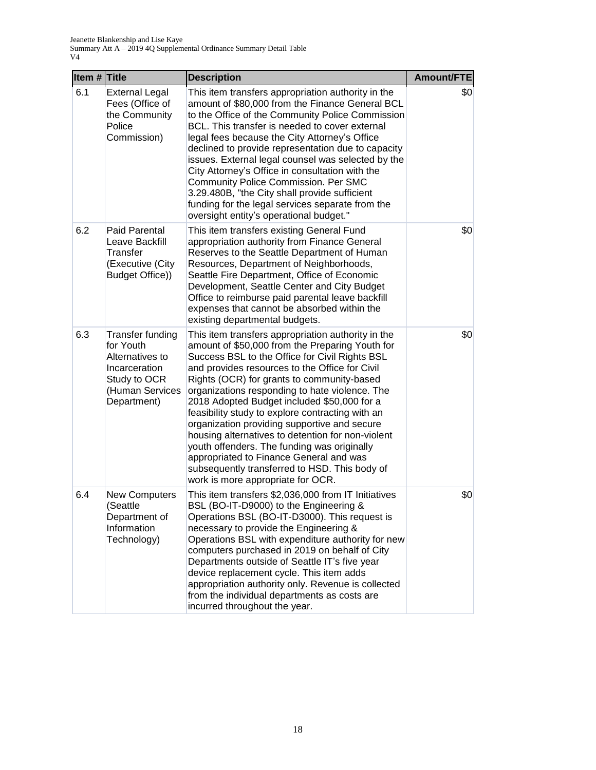| Item # Title |                                                                                                                     | <b>Description</b>                                                                                                                                                                                                                                                                                                                                                                                                                                                                                                                                                                                                                                                                                | <b>Amount/FTE</b> |
|--------------|---------------------------------------------------------------------------------------------------------------------|---------------------------------------------------------------------------------------------------------------------------------------------------------------------------------------------------------------------------------------------------------------------------------------------------------------------------------------------------------------------------------------------------------------------------------------------------------------------------------------------------------------------------------------------------------------------------------------------------------------------------------------------------------------------------------------------------|-------------------|
| 6.1          | <b>External Legal</b><br>Fees (Office of<br>the Community<br>Police<br>Commission)                                  | This item transfers appropriation authority in the<br>amount of \$80,000 from the Finance General BCL<br>to the Office of the Community Police Commission<br>BCL. This transfer is needed to cover external<br>legal fees because the City Attorney's Office<br>declined to provide representation due to capacity<br>issues. External legal counsel was selected by the<br>City Attorney's Office in consultation with the<br><b>Community Police Commission. Per SMC</b><br>3.29.480B, "the City shall provide sufficient<br>funding for the legal services separate from the<br>oversight entity's operational budget."                                                                        | \$0               |
| 6.2          | Paid Parental<br>Leave Backfill<br>Transfer<br>(Executive (City<br>Budget Office))                                  | This item transfers existing General Fund<br>appropriation authority from Finance General<br>Reserves to the Seattle Department of Human<br>Resources, Department of Neighborhoods,<br>Seattle Fire Department, Office of Economic<br>Development, Seattle Center and City Budget<br>Office to reimburse paid parental leave backfill<br>expenses that cannot be absorbed within the<br>existing departmental budgets.                                                                                                                                                                                                                                                                            | \$0               |
| 6.3          | Transfer funding<br>for Youth<br>Alternatives to<br>Incarceration<br>Study to OCR<br>(Human Services<br>Department) | This item transfers appropriation authority in the<br>amount of \$50,000 from the Preparing Youth for<br>Success BSL to the Office for Civil Rights BSL<br>and provides resources to the Office for Civil<br>Rights (OCR) for grants to community-based<br>organizations responding to hate violence. The<br>2018 Adopted Budget included \$50,000 for a<br>feasibility study to explore contracting with an<br>organization providing supportive and secure<br>housing alternatives to detention for non-violent<br>youth offenders. The funding was originally<br>appropriated to Finance General and was<br>subsequently transferred to HSD. This body of<br>work is more appropriate for OCR. | \$0               |
| 6.4          | <b>New Computers</b><br>(Seattle<br>Department of<br>Information<br>Technology)                                     | This item transfers \$2,036,000 from IT Initiatives<br>BSL (BO-IT-D9000) to the Engineering &<br>Operations BSL (BO-IT-D3000). This request is<br>necessary to provide the Engineering &<br>Operations BSL with expenditure authority for new<br>computers purchased in 2019 on behalf of City<br>Departments outside of Seattle IT's five year<br>device replacement cycle. This item adds<br>appropriation authority only. Revenue is collected<br>from the individual departments as costs are<br>incurred throughout the year.                                                                                                                                                                | \$0               |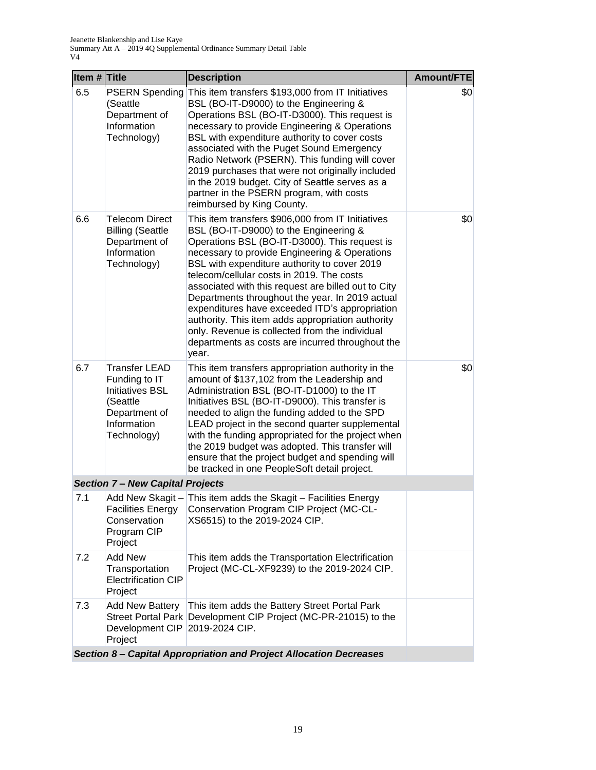| Item # Title |                                                                                                                     | <b>Description</b>                                                                                                                                                                                                                                                                                                                                                                                                                                                                                                                                                                                                         | Amount/FTE |
|--------------|---------------------------------------------------------------------------------------------------------------------|----------------------------------------------------------------------------------------------------------------------------------------------------------------------------------------------------------------------------------------------------------------------------------------------------------------------------------------------------------------------------------------------------------------------------------------------------------------------------------------------------------------------------------------------------------------------------------------------------------------------------|------------|
| 6.5          | <b>PSERN Spending</b><br>(Seattle<br>Department of<br>Information<br>Technology)                                    | This item transfers \$193,000 from IT Initiatives<br>BSL (BO-IT-D9000) to the Engineering &<br>Operations BSL (BO-IT-D3000). This request is<br>necessary to provide Engineering & Operations<br>BSL with expenditure authority to cover costs<br>associated with the Puget Sound Emergency<br>Radio Network (PSERN). This funding will cover<br>2019 purchases that were not originally included<br>in the 2019 budget. City of Seattle serves as a<br>partner in the PSERN program, with costs<br>reimbursed by King County.                                                                                             | \$0        |
| 6.6          | <b>Telecom Direct</b><br><b>Billing (Seattle</b><br>Department of<br>Information<br>Technology)                     | This item transfers \$906,000 from IT Initiatives<br>BSL (BO-IT-D9000) to the Engineering &<br>Operations BSL (BO-IT-D3000). This request is<br>necessary to provide Engineering & Operations<br>BSL with expenditure authority to cover 2019<br>telecom/cellular costs in 2019. The costs<br>associated with this request are billed out to City<br>Departments throughout the year. In 2019 actual<br>expenditures have exceeded ITD's appropriation<br>authority. This item adds appropriation authority<br>only. Revenue is collected from the individual<br>departments as costs are incurred throughout the<br>year. | \$0        |
| 6.7          | Transfer LEAD<br>Funding to IT<br><b>Initiatives BSL</b><br>(Seattle<br>Department of<br>Information<br>Technology) | This item transfers appropriation authority in the<br>amount of \$137,102 from the Leadership and<br>Administration BSL (BO-IT-D1000) to the IT<br>Initiatives BSL (BO-IT-D9000). This transfer is<br>needed to align the funding added to the SPD<br>LEAD project in the second quarter supplemental<br>with the funding appropriated for the project when<br>the 2019 budget was adopted. This transfer will<br>ensure that the project budget and spending will<br>be tracked in one PeopleSoft detail project.                                                                                                         | \$0        |
|              | <b>Section 7 - New Capital Projects</b>                                                                             |                                                                                                                                                                                                                                                                                                                                                                                                                                                                                                                                                                                                                            |            |
| 7.1          | <b>Facilities Energy</b><br>Conservation<br>Program CIP<br>Project                                                  | Add New Skagit - This item adds the Skagit - Facilities Energy<br>Conservation Program CIP Project (MC-CL-<br>XS6515) to the 2019-2024 CIP.                                                                                                                                                                                                                                                                                                                                                                                                                                                                                |            |
| 7.2          | <b>Add New</b><br>Transportation<br><b>Electrification CIP</b><br>Project                                           | This item adds the Transportation Electrification<br>Project (MC-CL-XF9239) to the 2019-2024 CIP.                                                                                                                                                                                                                                                                                                                                                                                                                                                                                                                          |            |
| 7.3          | <b>Add New Battery</b><br><b>Street Portal Park</b><br>Development CIP<br>Project                                   | This item adds the Battery Street Portal Park<br>Development CIP Project (MC-PR-21015) to the<br>2019-2024 CIP.                                                                                                                                                                                                                                                                                                                                                                                                                                                                                                            |            |
|              |                                                                                                                     | Section 8- Capital Appropriation and Project Allocation Decreases                                                                                                                                                                                                                                                                                                                                                                                                                                                                                                                                                          |            |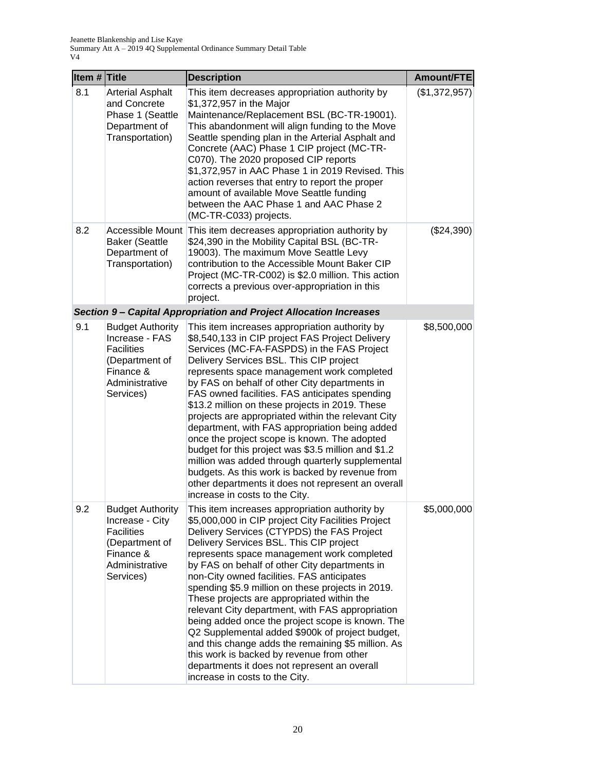| Item # Title |                                                                                                                               | <b>Description</b>                                                                                                                                                                                                                                                                                                                                                                                                                                                                                                                                                                                                                                                                                                                                                                                           | Amount/FTE    |
|--------------|-------------------------------------------------------------------------------------------------------------------------------|--------------------------------------------------------------------------------------------------------------------------------------------------------------------------------------------------------------------------------------------------------------------------------------------------------------------------------------------------------------------------------------------------------------------------------------------------------------------------------------------------------------------------------------------------------------------------------------------------------------------------------------------------------------------------------------------------------------------------------------------------------------------------------------------------------------|---------------|
| 8.1          | <b>Arterial Asphalt</b><br>and Concrete<br>Phase 1 (Seattle<br>Department of<br>Transportation)                               | This item decreases appropriation authority by<br>\$1,372,957 in the Major<br>Maintenance/Replacement BSL (BC-TR-19001).<br>This abandonment will align funding to the Move<br>Seattle spending plan in the Arterial Asphalt and<br>Concrete (AAC) Phase 1 CIP project (MC-TR-<br>C070). The 2020 proposed CIP reports<br>\$1,372,957 in AAC Phase 1 in 2019 Revised. This<br>action reverses that entry to report the proper<br>amount of available Move Seattle funding<br>between the AAC Phase 1 and AAC Phase 2<br>(MC-TR-C033) projects.                                                                                                                                                                                                                                                               | (\$1,372,957) |
| 8.2          | <b>Baker (Seattle</b><br>Department of<br>Transportation)                                                                     | Accessible Mount This item decreases appropriation authority by<br>\$24,390 in the Mobility Capital BSL (BC-TR-<br>19003). The maximum Move Seattle Levy<br>contribution to the Accessible Mount Baker CIP<br>Project (MC-TR-C002) is \$2.0 million. This action<br>corrects a previous over-appropriation in this<br>project.                                                                                                                                                                                                                                                                                                                                                                                                                                                                               | (\$24,390)    |
|              |                                                                                                                               | Section 9- Capital Appropriation and Project Allocation Increases                                                                                                                                                                                                                                                                                                                                                                                                                                                                                                                                                                                                                                                                                                                                            |               |
| 9.1          | <b>Budget Authority</b><br>Increase - FAS<br><b>Facilities</b><br>(Department of<br>Finance &<br>Administrative<br>Services)  | This item increases appropriation authority by<br>\$8,540,133 in CIP project FAS Project Delivery<br>Services (MC-FA-FASPDS) in the FAS Project<br>Delivery Services BSL. This CIP project<br>represents space management work completed<br>by FAS on behalf of other City departments in<br>FAS owned facilities. FAS anticipates spending<br>\$13.2 million on these projects in 2019. These<br>projects are appropriated within the relevant City<br>department, with FAS appropriation being added<br>once the project scope is known. The adopted<br>budget for this project was \$3.5 million and \$1.2<br>million was added through quarterly supplemental<br>budgets. As this work is backed by revenue from<br>other departments it does not represent an overall<br>increase in costs to the City. | \$8,500,000   |
| 9.2          | <b>Budget Authority</b><br>Increase - City<br><b>Facilities</b><br>(Department of<br>Finance &<br>Administrative<br>Services) | This item increases appropriation authority by<br>\$5,000,000 in CIP project City Facilities Project<br>Delivery Services (CTYPDS) the FAS Project<br>Delivery Services BSL. This CIP project<br>represents space management work completed<br>by FAS on behalf of other City departments in<br>non-City owned facilities. FAS anticipates<br>spending \$5.9 million on these projects in 2019.<br>These projects are appropriated within the<br>relevant City department, with FAS appropriation<br>being added once the project scope is known. The<br>Q2 Supplemental added \$900k of project budget,<br>and this change adds the remaining \$5 million. As<br>this work is backed by revenue from other<br>departments it does not represent an overall<br>increase in costs to the City.                | \$5,000,000   |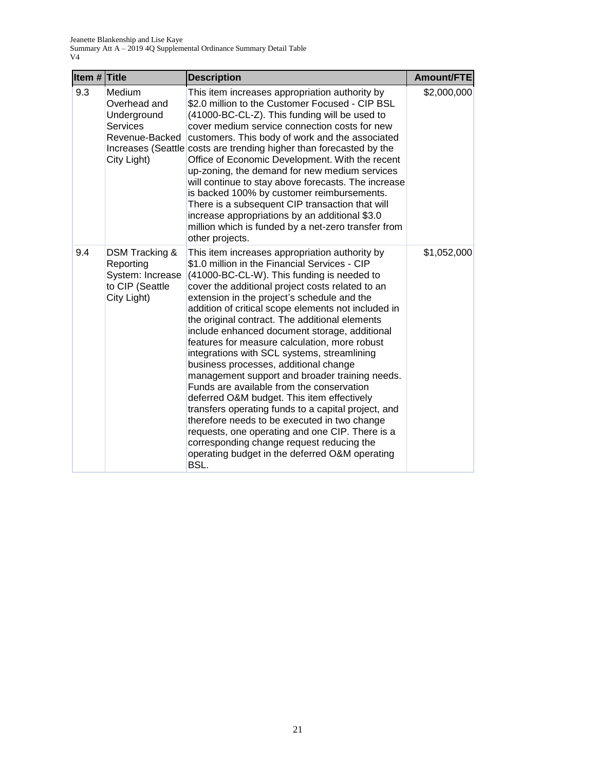| Item $#$ Title |                                                                                           | <b>Description</b>                                                                                                                                                                                                                                                                                                                                                                                                                                                                                                                                                                                                                                                                                                                                                                                                                                                                                                                                                | Amount/FTE  |
|----------------|-------------------------------------------------------------------------------------------|-------------------------------------------------------------------------------------------------------------------------------------------------------------------------------------------------------------------------------------------------------------------------------------------------------------------------------------------------------------------------------------------------------------------------------------------------------------------------------------------------------------------------------------------------------------------------------------------------------------------------------------------------------------------------------------------------------------------------------------------------------------------------------------------------------------------------------------------------------------------------------------------------------------------------------------------------------------------|-------------|
| 9.3            | Medium<br>Overhead and<br>Underground<br><b>Services</b><br>Revenue-Backed<br>City Light) | This item increases appropriation authority by<br>\$2.0 million to the Customer Focused - CIP BSL<br>(41000-BC-CL-Z). This funding will be used to<br>cover medium service connection costs for new<br>customers. This body of work and the associated<br>Increases (Seattle costs are trending higher than forecasted by the<br>Office of Economic Development. With the recent<br>up-zoning, the demand for new medium services<br>will continue to stay above forecasts. The increase<br>is backed 100% by customer reimbursements.<br>There is a subsequent CIP transaction that will<br>increase appropriations by an additional \$3.0<br>million which is funded by a net-zero transfer from<br>other projects.                                                                                                                                                                                                                                             | \$2,000,000 |
| 9.4            | DSM Tracking &<br>Reporting<br>System: Increase<br>to CIP (Seattle<br>City Light)         | This item increases appropriation authority by<br>\$1.0 million in the Financial Services - CIP<br>(41000-BC-CL-W). This funding is needed to<br>cover the additional project costs related to an<br>extension in the project's schedule and the<br>addition of critical scope elements not included in<br>the original contract. The additional elements<br>include enhanced document storage, additional<br>features for measure calculation, more robust<br>integrations with SCL systems, streamlining<br>business processes, additional change<br>management support and broader training needs.<br>Funds are available from the conservation<br>deferred O&M budget. This item effectively<br>transfers operating funds to a capital project, and<br>therefore needs to be executed in two change<br>requests, one operating and one CIP. There is a<br>corresponding change request reducing the<br>operating budget in the deferred O&M operating<br>BSL. | \$1,052,000 |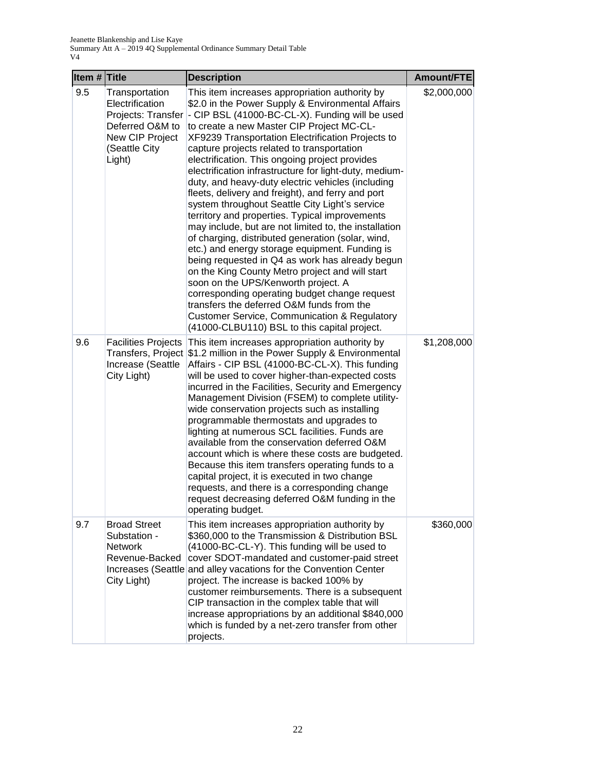| Item $#$ Title |                                                                                                                          | <b>Description</b>                                                                                                                                                                                                                                                                                                                                                                                                                                                                                                                                                                                                                                                                                                                                                                                                                                                                                                                                                                                                                                                                                                                                     | Amount/FTE  |
|----------------|--------------------------------------------------------------------------------------------------------------------------|--------------------------------------------------------------------------------------------------------------------------------------------------------------------------------------------------------------------------------------------------------------------------------------------------------------------------------------------------------------------------------------------------------------------------------------------------------------------------------------------------------------------------------------------------------------------------------------------------------------------------------------------------------------------------------------------------------------------------------------------------------------------------------------------------------------------------------------------------------------------------------------------------------------------------------------------------------------------------------------------------------------------------------------------------------------------------------------------------------------------------------------------------------|-------------|
| 9.5            | Transportation<br>Electrification<br>Projects: Transfer<br>Deferred O&M to<br>New CIP Project<br>(Seattle City<br>Light) | This item increases appropriation authority by<br>\$2.0 in the Power Supply & Environmental Affairs<br>- CIP BSL (41000-BC-CL-X). Funding will be used<br>to create a new Master CIP Project MC-CL-<br>XF9239 Transportation Electrification Projects to<br>capture projects related to transportation<br>electrification. This ongoing project provides<br>electrification infrastructure for light-duty, medium-<br>duty, and heavy-duty electric vehicles (including<br>fleets, delivery and freight), and ferry and port<br>system throughout Seattle City Light's service<br>territory and properties. Typical improvements<br>may include, but are not limited to, the installation<br>of charging, distributed generation (solar, wind,<br>etc.) and energy storage equipment. Funding is<br>being requested in Q4 as work has already begun<br>on the King County Metro project and will start<br>soon on the UPS/Kenworth project. A<br>corresponding operating budget change request<br>transfers the deferred O&M funds from the<br><b>Customer Service, Communication &amp; Regulatory</b><br>(41000-CLBU110) BSL to this capital project. | \$2,000,000 |
| 9.6            | <b>Facilities Projects</b><br>Increase (Seattle<br>City Light)                                                           | This item increases appropriation authority by<br>Transfers, Project \$1.2 million in the Power Supply & Environmental<br>Affairs - CIP BSL (41000-BC-CL-X). This funding<br>will be used to cover higher-than-expected costs<br>incurred in the Facilities, Security and Emergency<br>Management Division (FSEM) to complete utility-<br>wide conservation projects such as installing<br>programmable thermostats and upgrades to<br>lighting at numerous SCL facilities. Funds are<br>available from the conservation deferred O&M<br>account which is where these costs are budgeted.<br>Because this item transfers operating funds to a<br>capital project, it is executed in two change<br>requests, and there is a corresponding change<br>request decreasing deferred O&M funding in the<br>operating budget.                                                                                                                                                                                                                                                                                                                                 | \$1,208,000 |
| 9.7            | <b>Broad Street</b><br>Substation -<br><b>Network</b><br>Revenue-Backed<br>City Light)                                   | This item increases appropriation authority by<br>\$360,000 to the Transmission & Distribution BSL<br>(41000-BC-CL-Y). This funding will be used to<br>cover SDOT-mandated and customer-paid street<br>Increases (Seattle and alley vacations for the Convention Center<br>project. The increase is backed 100% by<br>customer reimbursements. There is a subsequent<br>CIP transaction in the complex table that will<br>increase appropriations by an additional \$840,000<br>which is funded by a net-zero transfer from other<br>projects.                                                                                                                                                                                                                                                                                                                                                                                                                                                                                                                                                                                                         | \$360,000   |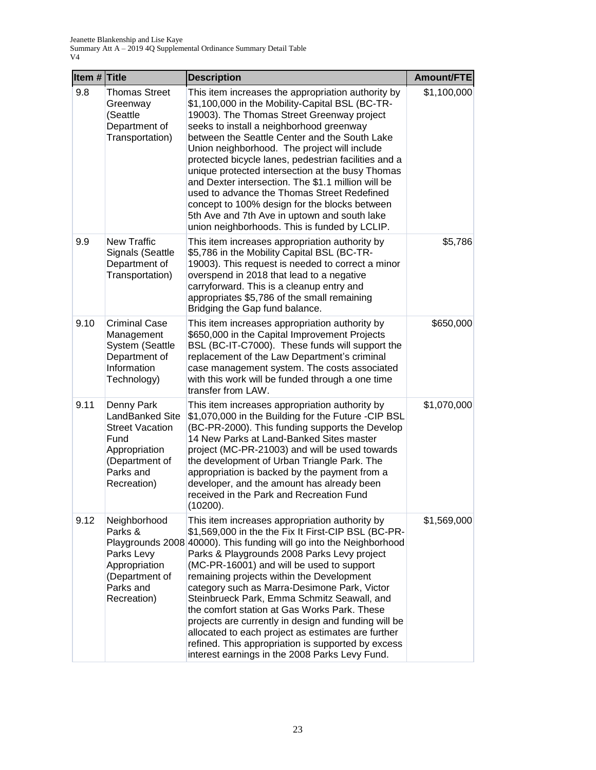| Item $#$ Title |                                                                                                                                | <b>Description</b>                                                                                                                                                                                                                                                                                                                                                                                                                                                                                                                                                                                                                                                                         | Amount/FTE  |
|----------------|--------------------------------------------------------------------------------------------------------------------------------|--------------------------------------------------------------------------------------------------------------------------------------------------------------------------------------------------------------------------------------------------------------------------------------------------------------------------------------------------------------------------------------------------------------------------------------------------------------------------------------------------------------------------------------------------------------------------------------------------------------------------------------------------------------------------------------------|-------------|
| 9.8            | Thomas Street<br>Greenway<br>(Seattle<br>Department of<br>Transportation)                                                      | This item increases the appropriation authority by<br>\$1,100,000 in the Mobility-Capital BSL (BC-TR-<br>19003). The Thomas Street Greenway project<br>seeks to install a neighborhood greenway<br>between the Seattle Center and the South Lake<br>Union neighborhood. The project will include<br>protected bicycle lanes, pedestrian facilities and a<br>unique protected intersection at the busy Thomas<br>and Dexter intersection. The \$1.1 million will be<br>used to advance the Thomas Street Redefined<br>concept to 100% design for the blocks between<br>5th Ave and 7th Ave in uptown and south lake<br>union neighborhoods. This is funded by LCLIP.                        | \$1,100,000 |
| 9.9            | <b>New Traffic</b><br>Signals (Seattle<br>Department of<br>Transportation)                                                     | This item increases appropriation authority by<br>\$5,786 in the Mobility Capital BSL (BC-TR-<br>19003). This request is needed to correct a minor<br>overspend in 2018 that lead to a negative<br>carryforward. This is a cleanup entry and<br>appropriates \$5,786 of the small remaining<br>Bridging the Gap fund balance.                                                                                                                                                                                                                                                                                                                                                              | \$5,786     |
| 9.10           | <b>Criminal Case</b><br>Management<br>System (Seattle<br>Department of<br>Information<br>Technology)                           | This item increases appropriation authority by<br>\$650,000 in the Capital Improvement Projects<br>BSL (BC-IT-C7000). These funds will support the<br>replacement of the Law Department's criminal<br>case management system. The costs associated<br>with this work will be funded through a one time<br>transfer from LAW.                                                                                                                                                                                                                                                                                                                                                               | \$650,000   |
| 9.11           | Denny Park<br>LandBanked Site<br><b>Street Vacation</b><br>Fund<br>Appropriation<br>(Department of<br>Parks and<br>Recreation) | This item increases appropriation authority by<br>\$1,070,000 in the Building for the Future -CIP BSL<br>(BC-PR-2000). This funding supports the Develop<br>14 New Parks at Land-Banked Sites master<br>project (MC-PR-21003) and will be used towards<br>the development of Urban Triangle Park. The<br>appropriation is backed by the payment from a<br>developer, and the amount has already been<br>received in the Park and Recreation Fund<br>(10200).                                                                                                                                                                                                                               | \$1,070,000 |
| 9.12           | Neighborhood<br>Parks &<br>Parks Levy<br>Appropriation<br>(Department of<br>Parks and<br>Recreation)                           | This item increases appropriation authority by<br>\$1,569,000 in the the Fix It First-CIP BSL (BC-PR-<br>Playgrounds 2008 40000). This funding will go into the Neighborhood<br>Parks & Playgrounds 2008 Parks Levy project<br>(MC-PR-16001) and will be used to support<br>remaining projects within the Development<br>category such as Marra-Desimone Park, Victor<br>Steinbrueck Park, Emma Schmitz Seawall, and<br>the comfort station at Gas Works Park. These<br>projects are currently in design and funding will be<br>allocated to each project as estimates are further<br>refined. This appropriation is supported by excess<br>interest earnings in the 2008 Parks Levy Fund. | \$1,569,000 |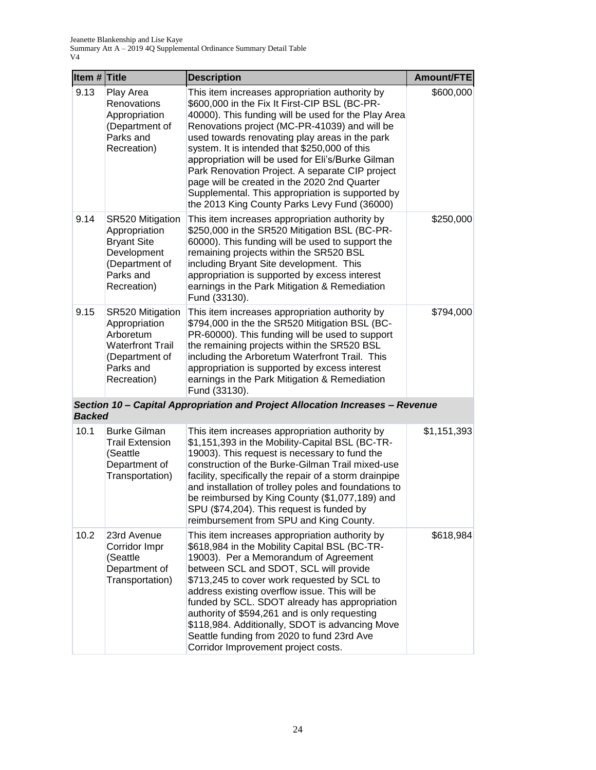| Item $#$ Title |                                                                                                                         | <b>Description</b>                                                                                                                                                                                                                                                                                                                                                                                                                                                                                                                                                     | Amount/FTE  |
|----------------|-------------------------------------------------------------------------------------------------------------------------|------------------------------------------------------------------------------------------------------------------------------------------------------------------------------------------------------------------------------------------------------------------------------------------------------------------------------------------------------------------------------------------------------------------------------------------------------------------------------------------------------------------------------------------------------------------------|-------------|
| 9.13           | Play Area<br>Renovations<br>Appropriation<br>(Department of<br>Parks and<br>Recreation)                                 | This item increases appropriation authority by<br>\$600,000 in the Fix It First-CIP BSL (BC-PR-<br>40000). This funding will be used for the Play Area<br>Renovations project (MC-PR-41039) and will be<br>used towards renovating play areas in the park<br>system. It is intended that \$250,000 of this<br>appropriation will be used for Eli's/Burke Gilman<br>Park Renovation Project. A separate CIP project<br>page will be created in the 2020 2nd Quarter<br>Supplemental. This appropriation is supported by<br>the 2013 King County Parks Levy Fund (36000) | \$600,000   |
| 9.14           | SR520 Mitigation<br>Appropriation<br><b>Bryant Site</b><br>Development<br>(Department of<br>Parks and<br>Recreation)    | This item increases appropriation authority by<br>\$250,000 in the SR520 Mitigation BSL (BC-PR-<br>60000). This funding will be used to support the<br>remaining projects within the SR520 BSL<br>including Bryant Site development. This<br>appropriation is supported by excess interest<br>earnings in the Park Mitigation & Remediation<br>Fund (33130).                                                                                                                                                                                                           | \$250,000   |
| 9.15           | SR520 Mitigation<br>Appropriation<br>Arboretum<br><b>Waterfront Trail</b><br>(Department of<br>Parks and<br>Recreation) | This item increases appropriation authority by<br>\$794,000 in the the SR520 Mitigation BSL (BC-<br>PR-60000). This funding will be used to support<br>the remaining projects within the SR520 BSL<br>including the Arboretum Waterfront Trail. This<br>appropriation is supported by excess interest<br>earnings in the Park Mitigation & Remediation<br>Fund (33130).                                                                                                                                                                                                | \$794,000   |
| <b>Backed</b>  |                                                                                                                         | Section 10 - Capital Appropriation and Project Allocation Increases - Revenue                                                                                                                                                                                                                                                                                                                                                                                                                                                                                          |             |
| 10.1           | <b>Burke Gilman</b><br><b>Trail Extension</b><br>(Seattle<br>Department of<br>Transportation)                           | This item increases appropriation authority by<br>\$1,151,393 in the Mobility-Capital BSL (BC-TR-<br>19003). This request is necessary to fund the<br>construction of the Burke-Gilman Trail mixed-use<br>facility, specifically the repair of a storm drainpipe<br>and installation of trolley poles and foundations to<br>be reimbursed by King County (\$1,077,189) and<br>SPU (\$74,204). This request is funded by<br>reimbursement from SPU and King County.                                                                                                     | \$1,151,393 |
| 10.2           | 23rd Avenue<br>Corridor Impr<br>(Seattle<br>Department of<br>Transportation)                                            | This item increases appropriation authority by<br>\$618,984 in the Mobility Capital BSL (BC-TR-<br>19003). Per a Memorandum of Agreement<br>between SCL and SDOT, SCL will provide<br>\$713,245 to cover work requested by SCL to<br>address existing overflow issue. This will be<br>funded by SCL. SDOT already has appropriation<br>authority of \$594,261 and is only requesting<br>\$118,984. Additionally, SDOT is advancing Move<br>Seattle funding from 2020 to fund 23rd Ave<br>Corridor Improvement project costs.                                           | \$618,984   |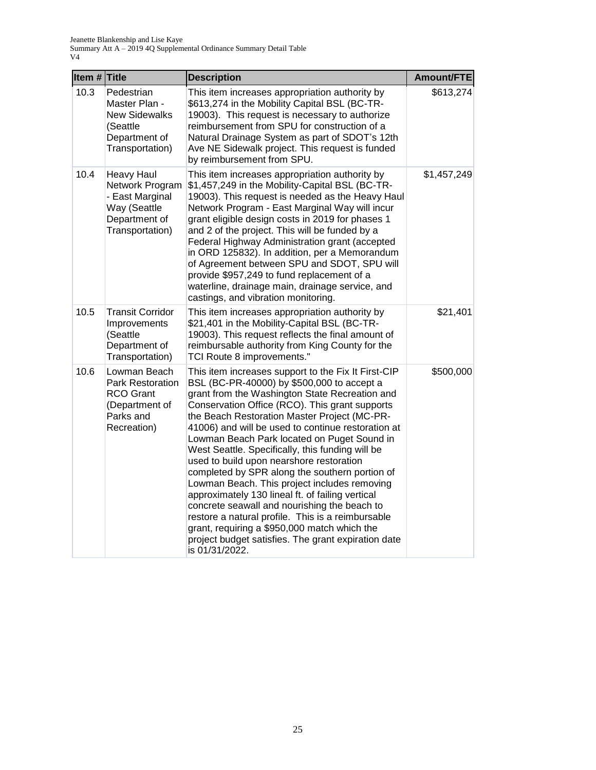| Item $#$ Title |                                                                                                             | <b>Description</b>                                                                                                                                                                                                                                                                                                                                                                                                                                                                                                                                                                                                                                                                                                                                                                                                                             | <b>Amount/FTE</b> |
|----------------|-------------------------------------------------------------------------------------------------------------|------------------------------------------------------------------------------------------------------------------------------------------------------------------------------------------------------------------------------------------------------------------------------------------------------------------------------------------------------------------------------------------------------------------------------------------------------------------------------------------------------------------------------------------------------------------------------------------------------------------------------------------------------------------------------------------------------------------------------------------------------------------------------------------------------------------------------------------------|-------------------|
| 10.3           | Pedestrian<br>Master Plan -<br><b>New Sidewalks</b><br>(Seattle<br>Department of<br>Transportation)         | This item increases appropriation authority by<br>\$613,274 in the Mobility Capital BSL (BC-TR-<br>19003). This request is necessary to authorize<br>reimbursement from SPU for construction of a<br>Natural Drainage System as part of SDOT's 12th<br>Ave NE Sidewalk project. This request is funded<br>by reimbursement from SPU.                                                                                                                                                                                                                                                                                                                                                                                                                                                                                                           | \$613,274         |
| 10.4           | <b>Heavy Haul</b><br>Network Program<br>- East Marginal<br>Way (Seattle<br>Department of<br>Transportation) | This item increases appropriation authority by<br>\$1,457,249 in the Mobility-Capital BSL (BC-TR-<br>19003). This request is needed as the Heavy Haul<br>Network Program - East Marginal Way will incur<br>grant eligible design costs in 2019 for phases 1<br>and 2 of the project. This will be funded by a<br>Federal Highway Administration grant (accepted<br>in ORD 125832). In addition, per a Memorandum<br>of Agreement between SPU and SDOT, SPU will<br>provide \$957,249 to fund replacement of a<br>waterline, drainage main, drainage service, and<br>castings, and vibration monitoring.                                                                                                                                                                                                                                        | \$1,457,249       |
| 10.5           | <b>Transit Corridor</b><br>Improvements<br>(Seattle<br>Department of<br>Transportation)                     | This item increases appropriation authority by<br>\$21,401 in the Mobility-Capital BSL (BC-TR-<br>19003). This request reflects the final amount of<br>reimbursable authority from King County for the<br>TCI Route 8 improvements."                                                                                                                                                                                                                                                                                                                                                                                                                                                                                                                                                                                                           | \$21,401          |
| 10.6           | Lowman Beach<br><b>Park Restoration</b><br><b>RCO Grant</b><br>(Department of<br>Parks and<br>Recreation)   | This item increases support to the Fix It First-CIP<br>BSL (BC-PR-40000) by \$500,000 to accept a<br>grant from the Washington State Recreation and<br>Conservation Office (RCO). This grant supports<br>the Beach Restoration Master Project (MC-PR-<br>41006) and will be used to continue restoration at<br>Lowman Beach Park located on Puget Sound in<br>West Seattle. Specifically, this funding will be<br>used to build upon nearshore restoration<br>completed by SPR along the southern portion of<br>Lowman Beach. This project includes removing<br>approximately 130 lineal ft. of failing vertical<br>concrete seawall and nourishing the beach to<br>restore a natural profile. This is a reimbursable<br>grant, requiring a \$950,000 match which the<br>project budget satisfies. The grant expiration date<br>is 01/31/2022. | \$500,000         |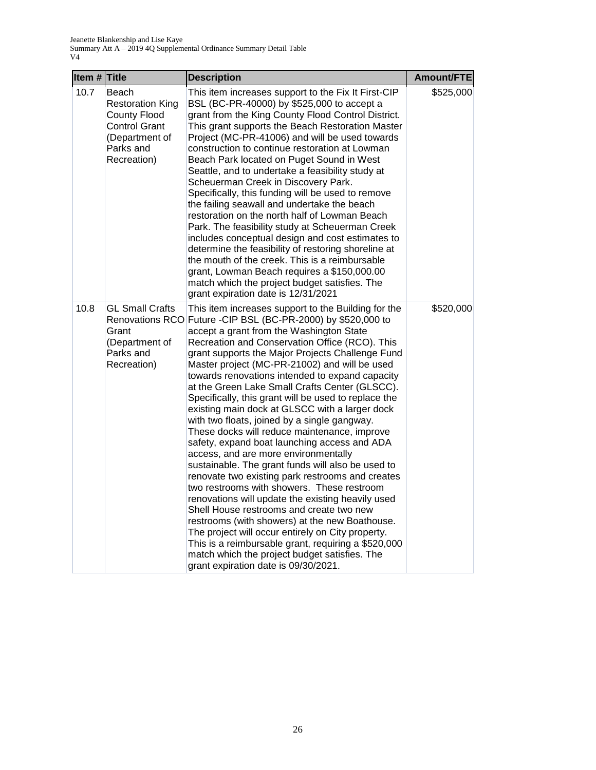| Item # Title |                                                                                                                               | <b>Description</b>                                                                                                                                                                                                                                                                                                                                                                                                                                                                                                                                                                                                                                                                                                                                                                                                                                                                                                                                                                                                                                                                                                                                                                                                           | Amount/FTE |
|--------------|-------------------------------------------------------------------------------------------------------------------------------|------------------------------------------------------------------------------------------------------------------------------------------------------------------------------------------------------------------------------------------------------------------------------------------------------------------------------------------------------------------------------------------------------------------------------------------------------------------------------------------------------------------------------------------------------------------------------------------------------------------------------------------------------------------------------------------------------------------------------------------------------------------------------------------------------------------------------------------------------------------------------------------------------------------------------------------------------------------------------------------------------------------------------------------------------------------------------------------------------------------------------------------------------------------------------------------------------------------------------|------------|
| 10.7         | Beach<br><b>Restoration King</b><br><b>County Flood</b><br><b>Control Grant</b><br>(Department of<br>Parks and<br>Recreation) | This item increases support to the Fix It First-CIP<br>BSL (BC-PR-40000) by \$525,000 to accept a<br>grant from the King County Flood Control District.<br>This grant supports the Beach Restoration Master<br>Project (MC-PR-41006) and will be used towards<br>construction to continue restoration at Lowman<br>Beach Park located on Puget Sound in West<br>Seattle, and to undertake a feasibility study at<br>Scheuerman Creek in Discovery Park.<br>Specifically, this funding will be used to remove<br>the failing seawall and undertake the beach<br>restoration on the north half of Lowman Beach<br>Park. The feasibility study at Scheuerman Creek<br>includes conceptual design and cost estimates to<br>determine the feasibility of restoring shoreline at<br>the mouth of the creek. This is a reimbursable<br>grant, Lowman Beach requires a \$150,000.00<br>match which the project budget satisfies. The<br>grant expiration date is 12/31/2021                                                                                                                                                                                                                                                          | \$525,000  |
| 10.8         | <b>GL Small Crafts</b><br>Renovations RCO<br>Grant<br>(Department of<br>Parks and<br>Recreation)                              | This item increases support to the Building for the<br>Future -CIP BSL (BC-PR-2000) by \$520,000 to<br>accept a grant from the Washington State<br>Recreation and Conservation Office (RCO). This<br>grant supports the Major Projects Challenge Fund<br>Master project (MC-PR-21002) and will be used<br>towards renovations intended to expand capacity<br>at the Green Lake Small Crafts Center (GLSCC).<br>Specifically, this grant will be used to replace the<br>existing main dock at GLSCC with a larger dock<br>with two floats, joined by a single gangway.<br>These docks will reduce maintenance, improve<br>safety, expand boat launching access and ADA<br>access, and are more environmentally<br>sustainable. The grant funds will also be used to<br>renovate two existing park restrooms and creates<br>two restrooms with showers. These restroom<br>renovations will update the existing heavily used<br>Shell House restrooms and create two new<br>restrooms (with showers) at the new Boathouse.<br>The project will occur entirely on City property.<br>This is a reimbursable grant, requiring a \$520,000<br>match which the project budget satisfies. The<br>grant expiration date is 09/30/2021. | \$520,000  |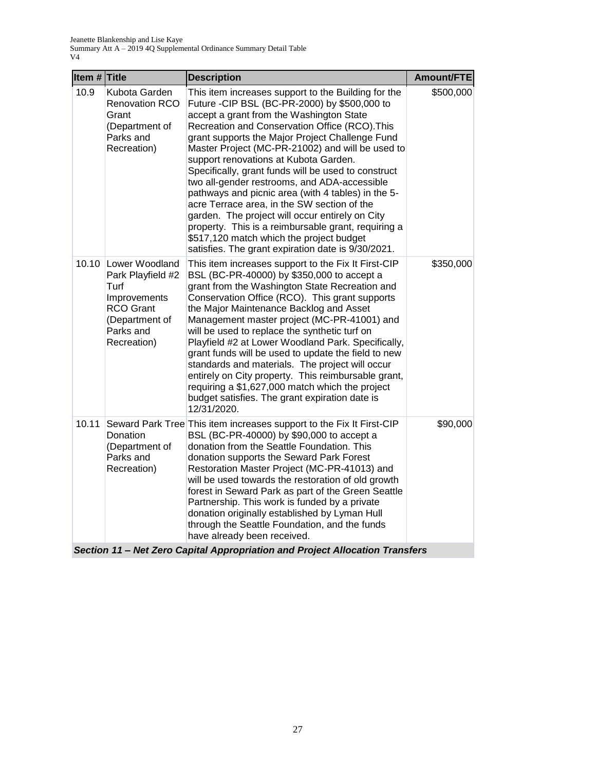| Item $#$ Title |                                                                                                                               | <b>Description</b>                                                                                                                                                                                                                                                                                                                                                                                                                                                                                                                                                                                                                                                                                                                                                                                                                                                                                                                                                                                                                                                                                                                                                  | Amount/FTE |
|----------------|-------------------------------------------------------------------------------------------------------------------------------|---------------------------------------------------------------------------------------------------------------------------------------------------------------------------------------------------------------------------------------------------------------------------------------------------------------------------------------------------------------------------------------------------------------------------------------------------------------------------------------------------------------------------------------------------------------------------------------------------------------------------------------------------------------------------------------------------------------------------------------------------------------------------------------------------------------------------------------------------------------------------------------------------------------------------------------------------------------------------------------------------------------------------------------------------------------------------------------------------------------------------------------------------------------------|------------|
| 10.9           | Kubota Garden<br>Renovation RCO<br>Grant<br>(Department of<br>Parks and<br>Recreation)                                        | This item increases support to the Building for the<br>Future -CIP BSL (BC-PR-2000) by \$500,000 to<br>accept a grant from the Washington State<br>Recreation and Conservation Office (RCO). This<br>grant supports the Major Project Challenge Fund<br>Master Project (MC-PR-21002) and will be used to<br>support renovations at Kubota Garden.<br>Specifically, grant funds will be used to construct<br>two all-gender restrooms, and ADA-accessible<br>pathways and picnic area (with 4 tables) in the 5-<br>acre Terrace area, in the SW section of the<br>garden. The project will occur entirely on City<br>property. This is a reimbursable grant, requiring a<br>\$517,120 match which the project budget<br>satisfies. The grant expiration date is 9/30/2021.                                                                                                                                                                                                                                                                                                                                                                                           | \$500,000  |
| 10.10          | Lower Woodland<br>Park Playfield #2<br>Turf<br>Improvements<br><b>RCO Grant</b><br>(Department of<br>Parks and<br>Recreation) | This item increases support to the Fix It First-CIP<br>BSL (BC-PR-40000) by \$350,000 to accept a<br>grant from the Washington State Recreation and<br>Conservation Office (RCO). This grant supports<br>the Major Maintenance Backlog and Asset<br>Management master project (MC-PR-41001) and<br>will be used to replace the synthetic turf on<br>Playfield #2 at Lower Woodland Park. Specifically,<br>grant funds will be used to update the field to new<br>standards and materials. The project will occur<br>entirely on City property. This reimbursable grant,<br>requiring a \$1,627,000 match which the project<br>budget satisfies. The grant expiration date is<br>12/31/2020.                                                                                                                                                                                                                                                                                                                                                                                                                                                                         | \$350,000  |
| 10.11          | Donation<br>(Department of<br>Parks and<br>Recreation)<br>-4-4                                                                | Seward Park Tree This item increases support to the Fix It First-CIP<br>BSL (BC-PR-40000) by \$90,000 to accept a<br>donation from the Seattle Foundation. This<br>donation supports the Seward Park Forest<br>Restoration Master Project (MC-PR-41013) and<br>will be used towards the restoration of old growth<br>forest in Seward Park as part of the Green Seattle<br>Partnership. This work is funded by a private<br>donation originally established by Lyman Hull<br>through the Seattle Foundation, and the funds<br>have already been received.<br>$\mathbf{L}$<br>والمنافية المناقب للمراجعة<br>$\mathbf{I}$ D <sub>1</sub><br>$\therefore$ $\therefore$ $\therefore$ $\therefore$ $\therefore$ $\therefore$ $\therefore$ $\therefore$ $\therefore$ $\therefore$ $\therefore$ $\therefore$ $\therefore$ $\therefore$ $\therefore$ $\therefore$ $\therefore$ $\therefore$ $\therefore$ $\therefore$ $\therefore$ $\therefore$ $\therefore$ $\therefore$ $\therefore$ $\therefore$ $\therefore$ $\therefore$ $\therefore$ $\therefore$ $\therefore$ $\therefore$ $\therefore$ $\therefore$ $\therefore$ $\therefore$ $\therefore$<br>. <del>.</del><br>. . | \$90,000   |

*Section 11 – Net Zero Capital Appropriation and Project Allocation Transfers*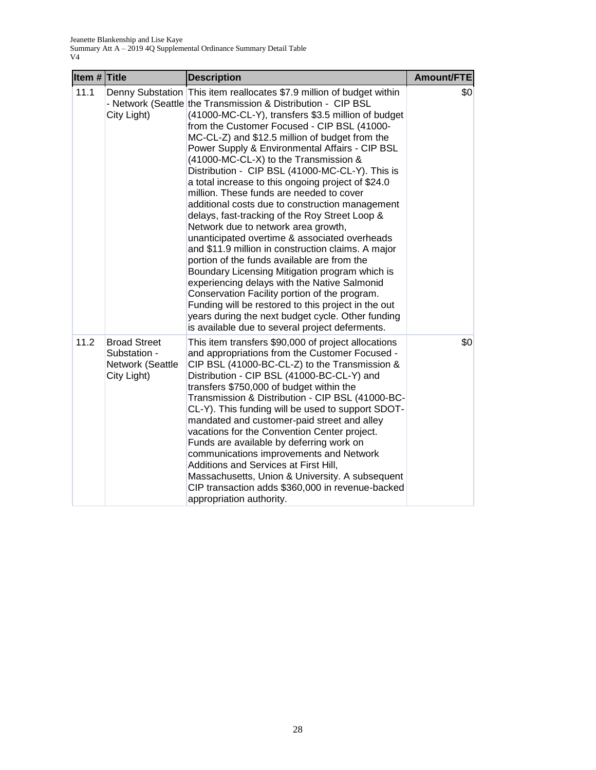| Item # Title |                                                                        | <b>Description</b>                                                                                                                                                                                                                                                                                                                                                                                                                                                                                                                                                                                                                                                                                                                                                                                                                                                                                                                                                                                                                                                                                                                                               | Amount/FTE |
|--------------|------------------------------------------------------------------------|------------------------------------------------------------------------------------------------------------------------------------------------------------------------------------------------------------------------------------------------------------------------------------------------------------------------------------------------------------------------------------------------------------------------------------------------------------------------------------------------------------------------------------------------------------------------------------------------------------------------------------------------------------------------------------------------------------------------------------------------------------------------------------------------------------------------------------------------------------------------------------------------------------------------------------------------------------------------------------------------------------------------------------------------------------------------------------------------------------------------------------------------------------------|------------|
| 11.1         | City Light)                                                            | Denny Substation This item reallocates \$7.9 million of budget within<br>- Network (Seattle the Transmission & Distribution - CIP BSL<br>(41000-MC-CL-Y), transfers \$3.5 million of budget<br>from the Customer Focused - CIP BSL (41000-<br>MC-CL-Z) and \$12.5 million of budget from the<br>Power Supply & Environmental Affairs - CIP BSL<br>(41000-MC-CL-X) to the Transmission &<br>Distribution - CIP BSL (41000-MC-CL-Y). This is<br>a total increase to this ongoing project of \$24.0<br>million. These funds are needed to cover<br>additional costs due to construction management<br>delays, fast-tracking of the Roy Street Loop &<br>Network due to network area growth,<br>unanticipated overtime & associated overheads<br>and \$11.9 million in construction claims. A major<br>portion of the funds available are from the<br>Boundary Licensing Mitigation program which is<br>experiencing delays with the Native Salmonid<br>Conservation Facility portion of the program.<br>Funding will be restored to this project in the out<br>years during the next budget cycle. Other funding<br>is available due to several project deferments. | \$0        |
| 11.2         | <b>Broad Street</b><br>Substation -<br>Network (Seattle<br>City Light) | This item transfers \$90,000 of project allocations<br>and appropriations from the Customer Focused -<br>CIP BSL (41000-BC-CL-Z) to the Transmission &<br>Distribution - CIP BSL (41000-BC-CL-Y) and<br>transfers \$750,000 of budget within the<br>Transmission & Distribution - CIP BSL (41000-BC-<br>CL-Y). This funding will be used to support SDOT-<br>mandated and customer-paid street and alley<br>vacations for the Convention Center project.<br>Funds are available by deferring work on<br>communications improvements and Network<br>Additions and Services at First Hill,<br>Massachusetts, Union & University. A subsequent<br>CIP transaction adds \$360,000 in revenue-backed<br>appropriation authority.                                                                                                                                                                                                                                                                                                                                                                                                                                      | \$0        |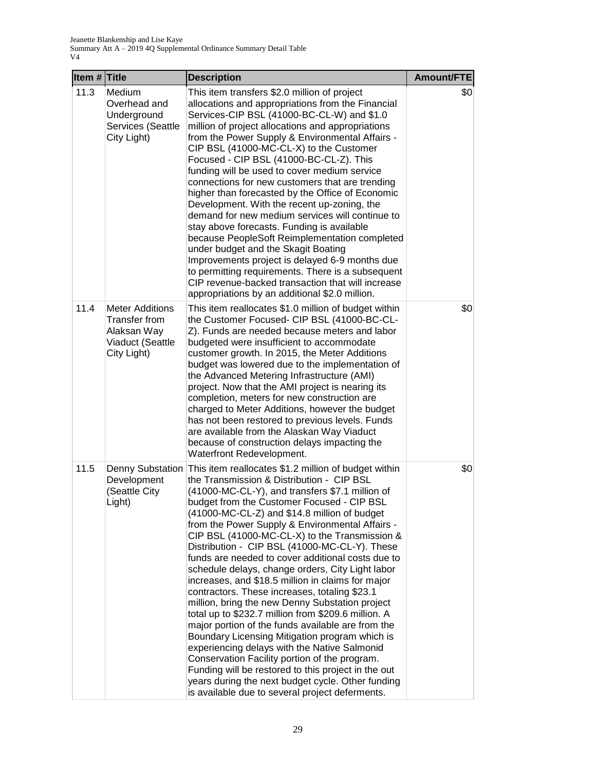| Item $#$ Title |                                                                                           | <b>Description</b>                                                                                                                                                                                                                                                                                                                                                                                                                                                                                                                                                                                                                                                                                                                                                                                                                                                                                                                                                                                                                                                                                      | Amount/FTE |
|----------------|-------------------------------------------------------------------------------------------|---------------------------------------------------------------------------------------------------------------------------------------------------------------------------------------------------------------------------------------------------------------------------------------------------------------------------------------------------------------------------------------------------------------------------------------------------------------------------------------------------------------------------------------------------------------------------------------------------------------------------------------------------------------------------------------------------------------------------------------------------------------------------------------------------------------------------------------------------------------------------------------------------------------------------------------------------------------------------------------------------------------------------------------------------------------------------------------------------------|------------|
| 11.3           | Medium<br>Overhead and<br>Underground<br>Services (Seattle<br>City Light)                 | This item transfers \$2.0 million of project<br>allocations and appropriations from the Financial<br>Services-CIP BSL (41000-BC-CL-W) and \$1.0<br>million of project allocations and appropriations<br>from the Power Supply & Environmental Affairs -<br>CIP BSL (41000-MC-CL-X) to the Customer<br>Focused - CIP BSL (41000-BC-CL-Z). This<br>funding will be used to cover medium service<br>connections for new customers that are trending<br>higher than forecasted by the Office of Economic<br>Development. With the recent up-zoning, the<br>demand for new medium services will continue to<br>stay above forecasts. Funding is available<br>because PeopleSoft Reimplementation completed<br>under budget and the Skagit Boating<br>Improvements project is delayed 6-9 months due<br>to permitting requirements. There is a subsequent<br>CIP revenue-backed transaction that will increase<br>appropriations by an additional \$2.0 million.                                                                                                                                              | \$0        |
| 11.4           | <b>Meter Additions</b><br>Transfer from<br>Alaksan Way<br>Viaduct (Seattle<br>City Light) | This item reallocates \$1.0 million of budget within<br>the Customer Focused- CIP BSL (41000-BC-CL-<br>Z). Funds are needed because meters and labor<br>budgeted were insufficient to accommodate<br>customer growth. In 2015, the Meter Additions<br>budget was lowered due to the implementation of<br>the Advanced Metering Infrastructure (AMI)<br>project. Now that the AMI project is nearing its<br>completion, meters for new construction are<br>charged to Meter Additions, however the budget<br>has not been restored to previous levels. Funds<br>are available from the Alaskan Way Viaduct<br>because of construction delays impacting the<br>Waterfront Redevelopment.                                                                                                                                                                                                                                                                                                                                                                                                                  | \$0        |
| 11.5           | Denny Substation<br>Development<br>(Seattle City<br>Light)                                | This item reallocates \$1.2 million of budget within<br>the Transmission & Distribution - CIP BSL<br>(41000-MC-CL-Y), and transfers \$7.1 million of<br>budget from the Customer Focused - CIP BSL<br>(41000-MC-CL-Z) and \$14.8 million of budget<br>from the Power Supply & Environmental Affairs -<br>CIP BSL (41000-MC-CL-X) to the Transmission &<br>Distribution - CIP BSL (41000-MC-CL-Y). These<br>funds are needed to cover additional costs due to<br>schedule delays, change orders, City Light labor<br>increases, and \$18.5 million in claims for major<br>contractors. These increases, totaling \$23.1<br>million, bring the new Denny Substation project<br>total up to \$232.7 million from \$209.6 million. A<br>major portion of the funds available are from the<br>Boundary Licensing Mitigation program which is<br>experiencing delays with the Native Salmonid<br>Conservation Facility portion of the program.<br>Funding will be restored to this project in the out<br>years during the next budget cycle. Other funding<br>is available due to several project deferments. | \$0        |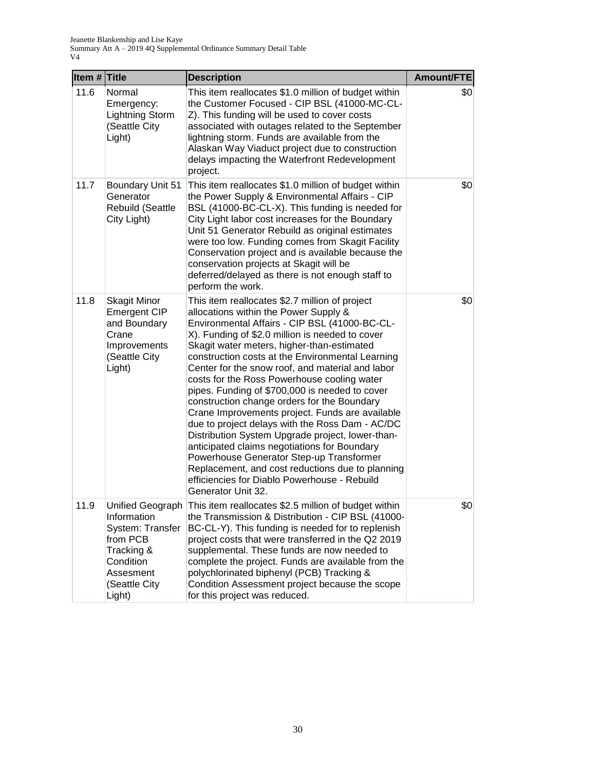| Item # Title |                                                                                                                                    | <b>Description</b>                                                                                                                                                                                                                                                                                                                                                                                                                                                                                                                                                                                                                                                                                                                                                                                                                                                                | Amount/FTE |
|--------------|------------------------------------------------------------------------------------------------------------------------------------|-----------------------------------------------------------------------------------------------------------------------------------------------------------------------------------------------------------------------------------------------------------------------------------------------------------------------------------------------------------------------------------------------------------------------------------------------------------------------------------------------------------------------------------------------------------------------------------------------------------------------------------------------------------------------------------------------------------------------------------------------------------------------------------------------------------------------------------------------------------------------------------|------------|
| 11.6         | Normal<br>Emergency:<br><b>Lightning Storm</b><br>(Seattle City<br>Light)                                                          | This item reallocates \$1.0 million of budget within<br>the Customer Focused - CIP BSL (41000-MC-CL-<br>Z). This funding will be used to cover costs<br>associated with outages related to the September<br>lightning storm. Funds are available from the<br>Alaskan Way Viaduct project due to construction<br>delays impacting the Waterfront Redevelopment<br>project.                                                                                                                                                                                                                                                                                                                                                                                                                                                                                                         | \$0        |
| 11.7         | Boundary Unit 51<br>Generator<br>Rebuild (Seattle<br>City Light)                                                                   | This item reallocates \$1.0 million of budget within<br>the Power Supply & Environmental Affairs - CIP<br>BSL (41000-BC-CL-X). This funding is needed for<br>City Light labor cost increases for the Boundary<br>Unit 51 Generator Rebuild as original estimates<br>were too low. Funding comes from Skagit Facility<br>Conservation project and is available because the<br>conservation projects at Skagit will be<br>deferred/delayed as there is not enough staff to<br>perform the work.                                                                                                                                                                                                                                                                                                                                                                                     | \$0        |
| 11.8         | <b>Skagit Minor</b><br><b>Emergent CIP</b><br>and Boundary<br>Crane<br>Improvements<br>(Seattle City<br>Light)                     | This item reallocates \$2.7 million of project<br>allocations within the Power Supply &<br>Environmental Affairs - CIP BSL (41000-BC-CL-<br>X). Funding of \$2.0 million is needed to cover<br>Skagit water meters, higher-than-estimated<br>construction costs at the Environmental Learning<br>Center for the snow roof, and material and labor<br>costs for the Ross Powerhouse cooling water<br>pipes. Funding of \$700,000 is needed to cover<br>construction change orders for the Boundary<br>Crane Improvements project. Funds are available<br>due to project delays with the Ross Dam - AC/DC<br>Distribution System Upgrade project, lower-than-<br>anticipated claims negotiations for Boundary<br>Powerhouse Generator Step-up Transformer<br>Replacement, and cost reductions due to planning<br>efficiencies for Diablo Powerhouse - Rebuild<br>Generator Unit 32. | \$0        |
| 11.9         | Unified Geograph<br>Information<br>System: Transfer<br>from PCB<br>Tracking &<br>Condition<br>Assesment<br>(Seattle City<br>Light) | This item reallocates \$2.5 million of budget within<br>the Transmission & Distribution - CIP BSL (41000-<br>BC-CL-Y). This funding is needed for to replenish<br>project costs that were transferred in the Q2 2019<br>supplemental. These funds are now needed to<br>complete the project. Funds are available from the<br>polychlorinated biphenyl (PCB) Tracking &<br>Condition Assessment project because the scope<br>for this project was reduced.                                                                                                                                                                                                                                                                                                                                                                                                                         | \$0        |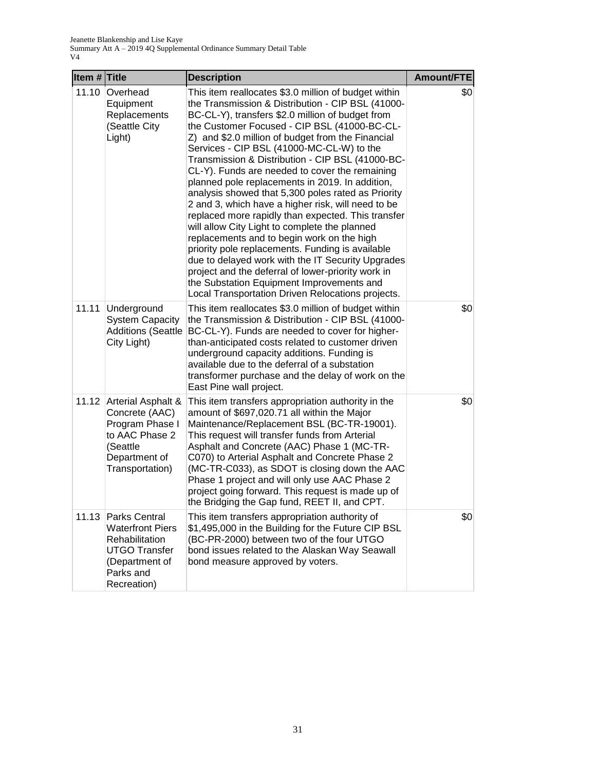| Item $#$ Title |                                                                                                                                  | <b>Description</b>                                                                                                                                                                                                                                                                                                                                                                                                                                                                                                                                                                                                                                                                                                                                                                                                                                                                                                                                                                                         | Amount/FTE |
|----------------|----------------------------------------------------------------------------------------------------------------------------------|------------------------------------------------------------------------------------------------------------------------------------------------------------------------------------------------------------------------------------------------------------------------------------------------------------------------------------------------------------------------------------------------------------------------------------------------------------------------------------------------------------------------------------------------------------------------------------------------------------------------------------------------------------------------------------------------------------------------------------------------------------------------------------------------------------------------------------------------------------------------------------------------------------------------------------------------------------------------------------------------------------|------------|
| 11.10          | Overhead<br>Equipment<br>Replacements<br>(Seattle City<br>Light)                                                                 | This item reallocates \$3.0 million of budget within<br>the Transmission & Distribution - CIP BSL (41000-<br>BC-CL-Y), transfers \$2.0 million of budget from<br>the Customer Focused - CIP BSL (41000-BC-CL-<br>Z) and \$2.0 million of budget from the Financial<br>Services - CIP BSL (41000-MC-CL-W) to the<br>Transmission & Distribution - CIP BSL (41000-BC-<br>CL-Y). Funds are needed to cover the remaining<br>planned pole replacements in 2019. In addition,<br>analysis showed that 5,300 poles rated as Priority<br>2 and 3, which have a higher risk, will need to be<br>replaced more rapidly than expected. This transfer<br>will allow City Light to complete the planned<br>replacements and to begin work on the high<br>priority pole replacements. Funding is available<br>due to delayed work with the IT Security Upgrades<br>project and the deferral of lower-priority work in<br>the Substation Equipment Improvements and<br>Local Transportation Driven Relocations projects. | \$0        |
| 11.11          | Underground<br><b>System Capacity</b><br><b>Additions (Seattle</b><br>City Light)                                                | This item reallocates \$3.0 million of budget within<br>the Transmission & Distribution - CIP BSL (41000-<br>BC-CL-Y). Funds are needed to cover for higher-<br>than-anticipated costs related to customer driven<br>underground capacity additions. Funding is<br>available due to the deferral of a substation<br>transformer purchase and the delay of work on the<br>East Pine wall project.                                                                                                                                                                                                                                                                                                                                                                                                                                                                                                                                                                                                           | \$0        |
|                | 11.12 Arterial Asphalt &<br>Concrete (AAC)<br>Program Phase I<br>to AAC Phase 2<br>(Seattle<br>Department of<br>Transportation)  | This item transfers appropriation authority in the<br>amount of \$697,020.71 all within the Major<br>Maintenance/Replacement BSL (BC-TR-19001).<br>This request will transfer funds from Arterial<br>Asphalt and Concrete (AAC) Phase 1 (MC-TR-<br>C070) to Arterial Asphalt and Concrete Phase 2<br>(MC-TR-C033), as SDOT is closing down the AAC<br>Phase 1 project and will only use AAC Phase 2<br>project going forward. This request is made up of<br>the Bridging the Gap fund, REET II, and CPT.                                                                                                                                                                                                                                                                                                                                                                                                                                                                                                   | \$0        |
| 11.13          | Parks Central<br><b>Waterfront Piers</b><br>Rehabilitation<br><b>UTGO Transfer</b><br>(Department of<br>Parks and<br>Recreation) | This item transfers appropriation authority of<br>\$1,495,000 in the Building for the Future CIP BSL<br>(BC-PR-2000) between two of the four UTGO<br>bond issues related to the Alaskan Way Seawall<br>bond measure approved by voters.                                                                                                                                                                                                                                                                                                                                                                                                                                                                                                                                                                                                                                                                                                                                                                    | \$0        |